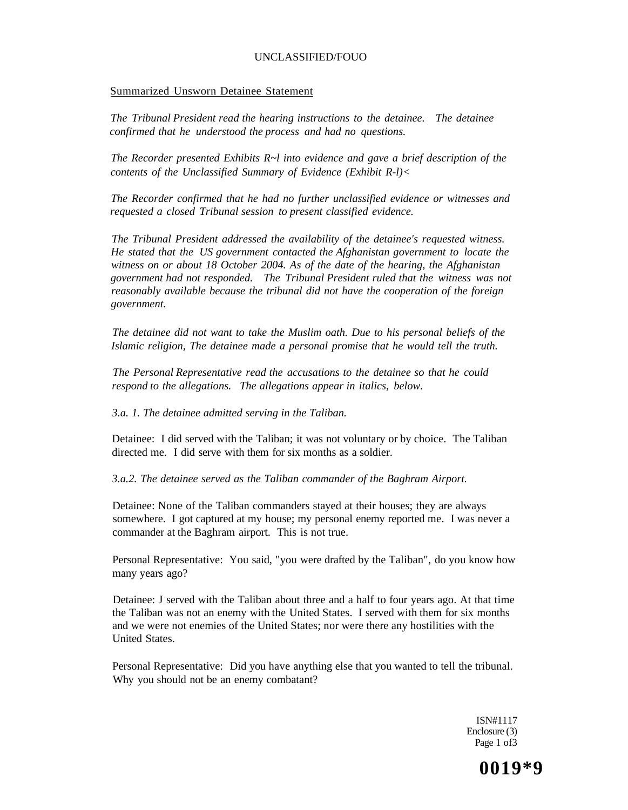#### Summarized Unsworn Detainee Statement

*The Tribunal President read the hearing instructions to the detainee. The detainee confirmed that he understood the process and had no questions.* 

*The Recorder presented Exhibits R~l into evidence and gave a brief description of the contents of the Unclassified Summary of Evidence (Exhibit R-l)<* 

*The Recorder confirmed that he had no further unclassified evidence or witnesses and requested a closed Tribunal session to present classified evidence.* 

*The Tribunal President addressed the availability of the detainee's requested witness. He stated that the US government contacted the Afghanistan government to locate the witness on or about 18 October 2004. As of the date of the hearing, the Afghanistan government had not responded. The Tribunal President ruled that the witness was not reasonably available because the tribunal did not have the cooperation of the foreign government.* 

*The detainee did not want to take the Muslim oath. Due to his personal beliefs of the Islamic religion, The detainee made a personal promise that he would tell the truth.* 

*The Personal Representative read the accusations to the detainee so that he could respond to the allegations. The allegations appear in italics, below.* 

*3.a. 1. The detainee admitted serving in the Taliban.* 

Detainee: I did served with the Taliban; it was not voluntary or by choice. The Taliban directed me. I did serve with them for six months as a soldier.

*3.a.2. The detainee served as the Taliban commander of the Baghram Airport.* 

Detainee: None of the Taliban commanders stayed at their houses; they are always somewhere. I got captured at my house; my personal enemy reported me. I was never a commander at the Baghram airport. This is not true.

Personal Representative: You said, "you were drafted by the Taliban", do you know how many years ago?

Detainee: J served with the Taliban about three and a half to four years ago. At that time the Taliban was not an enemy with the United States. I served with them for six months and we were not enemies of the United States; nor were there any hostilities with the United States.

Personal Representative: Did you have anything else that you wanted to tell the tribunal. Why you should not be an enemy combatant?

> ISN#1117 Enclosure (3) Page 1 of 3

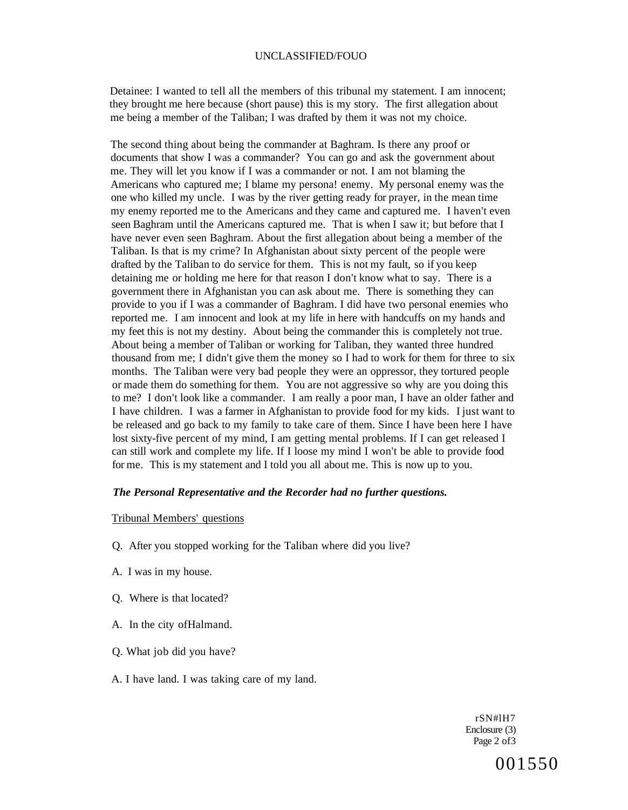Detainee: I wanted to tell all the members of this tribunal my statement. I am innocent; they brought me here because (short pause) this is my story. The first allegation about me being a member of the Taliban; I was drafted by them it was not my choice.

The second thing about being the commander at Baghram. Is there any proof or documents that show I was a commander? You can go and ask the government about me. They will let you know if I was a commander or not. I am not blaming the Americans who captured me; I blame my persona! enemy. My personal enemy was the one who killed my uncle. I was by the river getting ready for prayer, in the mean time my enemy reported me to the Americans and they came and captured me. I haven't even seen Baghram until the Americans captured me. That is when I saw it; but before that I have never even seen Baghram. About the first allegation about being a member of the Taliban. Is that is my crime? In Afghanistan about sixty percent of the people were drafted by the Taliban to do service for them. This is not my fault, so if you keep detaining me or holding me here for that reason I don't know what to say. There is a government there in Afghanistan you can ask about me. There is something they can provide to you if I was a commander of Baghram. I did have two personal enemies who reported me. I am innocent and look at my life in here with handcuffs on my hands and my feet this is not my destiny. About being the commander this is completely not true. About being a member of Taliban or working for Taliban, they wanted three hundred thousand from me; I didn't give them the money so I had to work for them for three to six months. The Taliban were very bad people they were an oppressor, they tortured people or made them do something for them. You are not aggressive so why are you doing this to me? I don't look like a commander. I am really a poor man, I have an older father and I have children. I was a farmer in Afghanistan to provide food for my kids. I just want to be released and go back to my family to take care of them. Since I have been here I have lost sixty-five percent of my mind, I am getting mental problems. If I can get released I can still work and complete my life. If I loose my mind I won't be able to provide food for me. This is my statement and I told you all about me. This is now up to you.

### *The Personal Representative and the Recorder had no further questions.*

#### Tribunal Members' questions

- Q. After you stopped working for the Taliban where did you live?
- A. I was in my house.
- Q. Where is that located?
- A. In the city ofHalmand.
- Q. What job did you have?
- A. I have land. I was taking care of my land.

rSN#lH7 Enclosure (3) Page 2 of3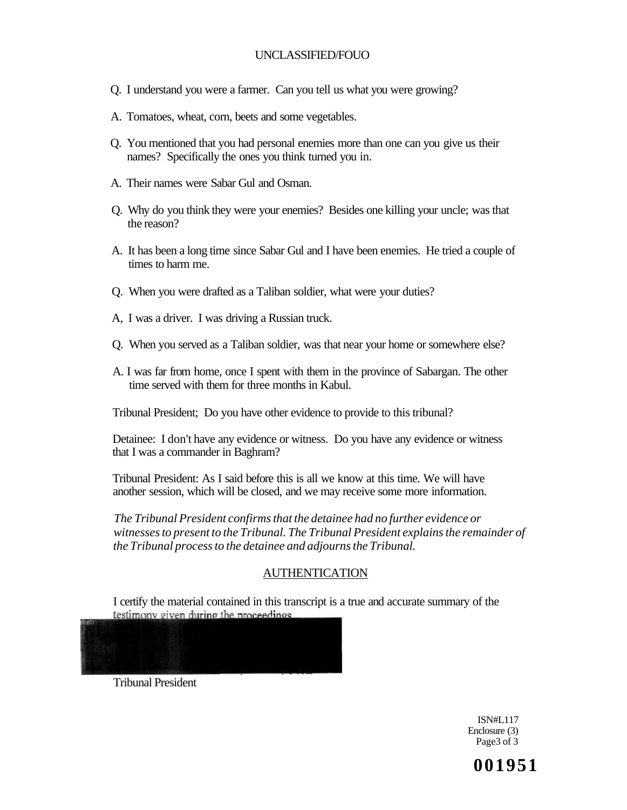- Q. I understand you were a farmer. Can you tell us what you were growing?
- A. Tomatoes, wheat, corn, beets and some vegetables.
- Q. You mentioned that you had personal enemies more than one can you give us their names? Specifically the ones you think turned you in.
- A. Their names were Sabar Gul and Osman.
- Q. Why do you think they were your enemies? Besides one killing your uncle; was that the reason?
- A. It has been a long time since Sabar Gul and I have been enemies. He tried a couple of times to harm me.
- Q. When you were drafted as a Taliban soldier, what were your duties?
- A, I was a driver. I was driving a Russian truck.
- Q. When you served as a Taliban soldier, was that near your home or somewhere else?
- A. I was far from home, once I spent with them in the province of Sabargan. The other time served with them for three months in Kabul.

Tribunal President; Do you have other evidence to provide to this tribunal?

Detainee: I don't have any evidence or witness. Do you have any evidence or witness that I was a commander in Baghram?

Tribunal President: As I said before this is all we know at this time. We will have another session, which will be closed, and we may receive some more information.

*The Tribunal President confirms that the detainee had no further evidence or witnesses to present to the Tribunal. The Tribunal President explains the remainder of the Tribunal process to the detainee and adjourns the Tribunal.* 

# AUTHENTICATION

I certify the material contained in this transcript is a true and accurate summary of the testimony given during the proceedings



Tribunal President

ISN#L117 Enclosure (3) Page3 of 3

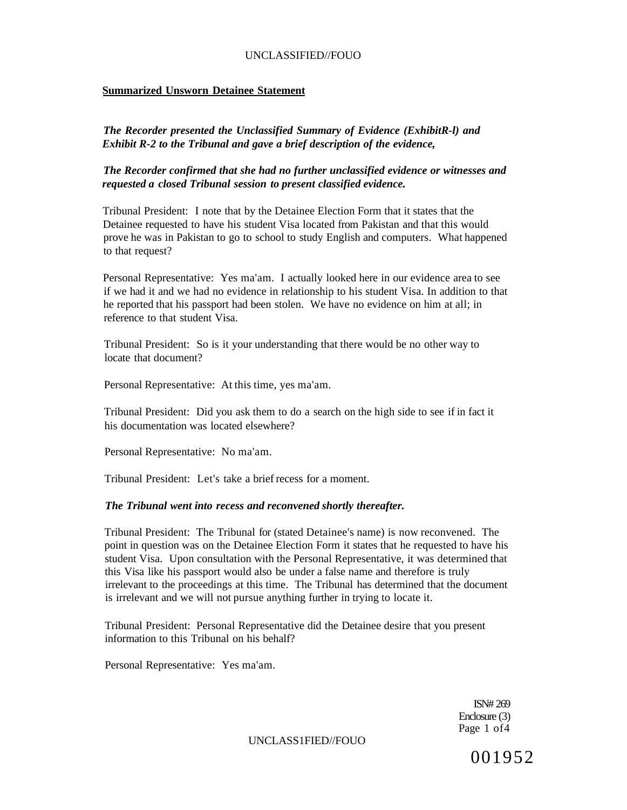## **Summarized Unsworn Detainee Statement**

*The Recorder presented the Unclassified Summary of Evidence (ExhibitR-l) and Exhibit R-2 to the Tribunal and gave a brief description of the evidence,* 

*The Recorder confirmed that she had no further unclassified evidence or witnesses and requested a closed Tribunal session to present classified evidence.* 

Tribunal President: I note that by the Detainee Election Form that it states that the Detainee requested to have his student Visa located from Pakistan and that this would prove he was in Pakistan to go to school to study English and computers. What happened to that request?

Personal Representative: Yes ma'am. I actually looked here in our evidence area to see if we had it and we had no evidence in relationship to his student Visa. In addition to that he reported that his passport had been stolen. We have no evidence on him at all; in reference to that student Visa.

Tribunal President: So is it your understanding that there would be no other way to locate that document?

Personal Representative: At this time, yes ma'am.

Tribunal President: Did you ask them to do a search on the high side to see if in fact it his documentation was located elsewhere?

Personal Representative: No ma'am.

Tribunal President: Let's take a brief recess for a moment.

#### *The Tribunal went into recess and reconvened shortly thereafter.*

Tribunal President: The Tribunal for (stated Detainee's name) is now reconvened. The point in question was on the Detainee Election Form it states that he requested to have his student Visa. Upon consultation with the Personal Representative, it was determined that this Visa like his passport would also be under a false name and therefore is truly irrelevant to the proceedings at this time. The Tribunal has determined that the document is irrelevant and we will not pursue anything further in trying to locate it.

Tribunal President: Personal Representative did the Detainee desire that you present information to this Tribunal on his behalf?

Personal Representative: Yes ma'am.

ISN# 269 Enclosure (3) Page 1 of4

UNCLASS1FIED//FOUO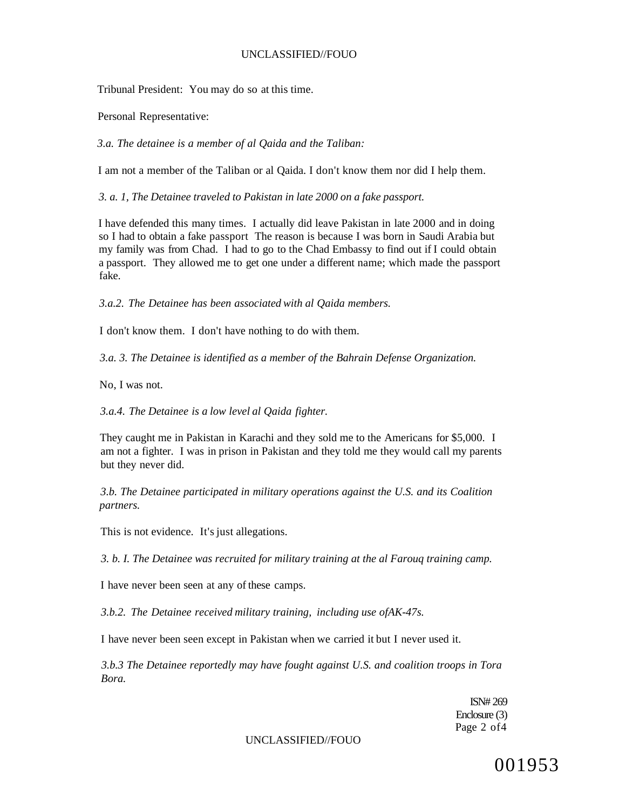Tribunal President: You may do so at this time.

Personal Representative:

*3.a. The detainee is a member of al Qaida and the Taliban:* 

I am not a member of the Taliban or al Qaida. I don't know them nor did I help them.

*3. a. 1, The Detainee traveled to Pakistan in late 2000 on a fake passport.* 

I have defended this many times. I actually did leave Pakistan in late 2000 and in doing so I had to obtain a fake passport The reason is because I was born in Saudi Arabia but my family was from Chad. I had to go to the Chad Embassy to find out if I could obtain a passport. They allowed me to get one under a different name; which made the passport fake.

*3.a.2. The Detainee has been associated with al Qaida members.* 

I don't know them. I don't have nothing to do with them.

*3.a. 3. The Detainee is identified as a member of the Bahrain Defense Organization.* 

No, I was not.

*3.a.4. The Detainee is a low level al Qaida fighter.* 

They caught me in Pakistan in Karachi and they sold me to the Americans for \$5,000. I am not a fighter. I was in prison in Pakistan and they told me they would call my parents but they never did.

*3.b. The Detainee participated in military operations against the U.S. and its Coalition partners.* 

This is not evidence. It's just allegations.

*3. b. I. The Detainee was recruited for military training at the al Farouq training camp.* 

I have never been seen at any of these camps.

*3.b.2. The Detainee received military training, including use ofAK-47s.* 

I have never been seen except in Pakistan when we carried it but I never used it.

*3.b.3 The Detainee reportedly may have fought against U.S. and coalition troops in Tora Bora.* 

> ISN# 269 Enclosure (3) Page 2 of4

UNCLASSIFIED//FOUO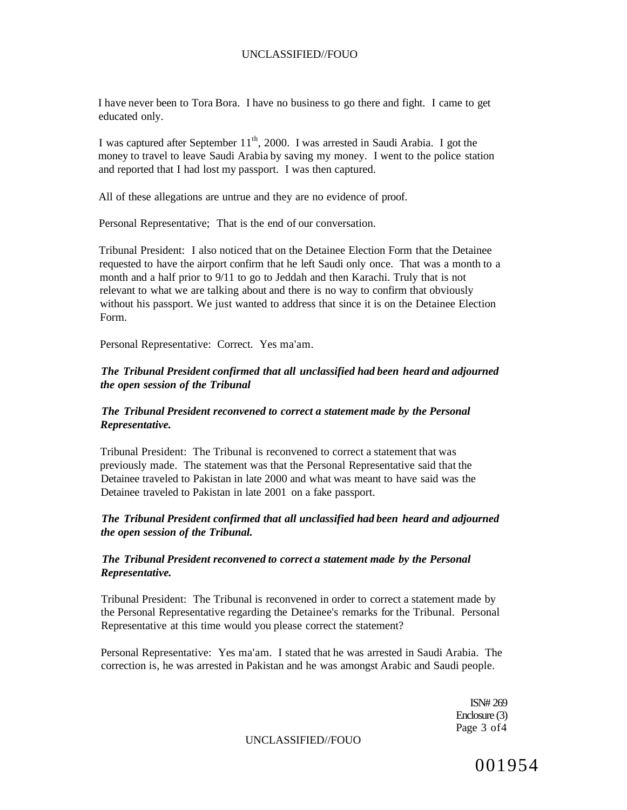I have never been to Tora Bora. I have no business to go there and fight. I came to get educated only.

I was captured after September 11<sup>th</sup>, 2000. I was arrested in Saudi Arabia. I got the money to travel to leave Saudi Arabia by saving my money. I went to the police station and reported that I had lost my passport. I was then captured.

All of these allegations are untrue and they are no evidence of proof.

Personal Representative; That is the end of our conversation.

Tribunal President: I also noticed that on the Detainee Election Form that the Detainee requested to have the airport confirm that he left Saudi only once. That was a month to a month and a half prior to 9/11 to go to Jeddah and then Karachi. Truly that is not relevant to what we are talking about and there is no way to confirm that obviously without his passport. We just wanted to address that since it is on the Detainee Election Form.

Personal Representative: Correct. Yes ma'am.

# *The Tribunal President confirmed that all unclassified had been heard and adjourned the open session of the Tribunal*

## *The Tribunal President reconvened to correct a statement made by the Personal Representative.*

Tribunal President: The Tribunal is reconvened to correct a statement that was previously made. The statement was that the Personal Representative said that the Detainee traveled to Pakistan in late 2000 and what was meant to have said was the Detainee traveled to Pakistan in late 2001 on a fake passport.

## *The Tribunal President confirmed that all unclassified had been heard and adjourned the open session of the Tribunal.*

## *The Tribunal President reconvened to correct a statement made by the Personal Representative.*

Tribunal President: The Tribunal is reconvened in order to correct a statement made by the Personal Representative regarding the Detainee's remarks for the Tribunal. Personal Representative at this time would you please correct the statement?

Personal Representative: Yes ma'am. I stated that he was arrested in Saudi Arabia. The correction is, he was arrested in Pakistan and he was amongst Arabic and Saudi people.

> ISN# 269 Enclosure (3) Page 3 of4

UNCLASSIFIED//FOUO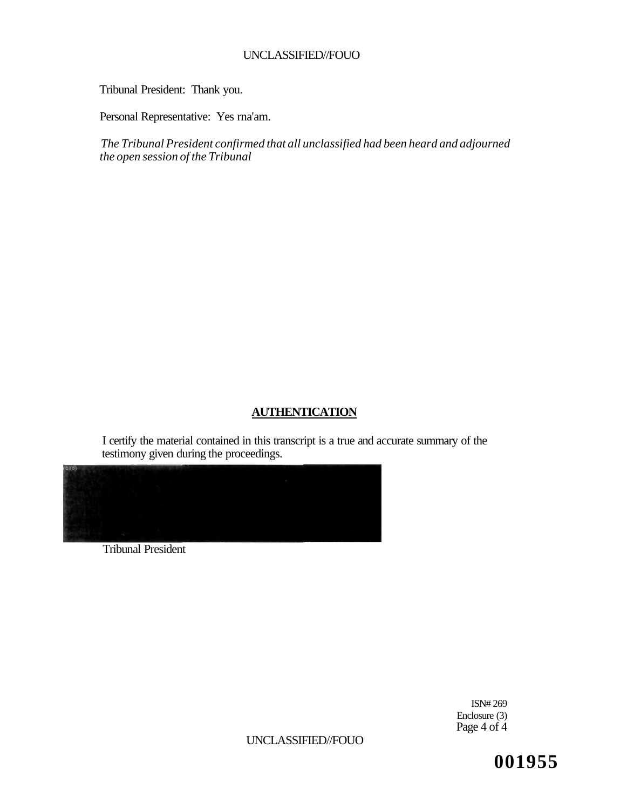Tribunal President: Thank you.

Personal Representative: Yes rna'am.

*The Tribunal President confirmed that all unclassified had been heard and adjourned the open session of the Tribunal* 

# **AUTHENTICATION**

I certify the material contained in this transcript is a true and accurate summary of the testimony given during the proceedings.



Tribunal President

ISN# 269 Enclosure (3) Page 4 of 4

UNCLASSIFIED//FOUO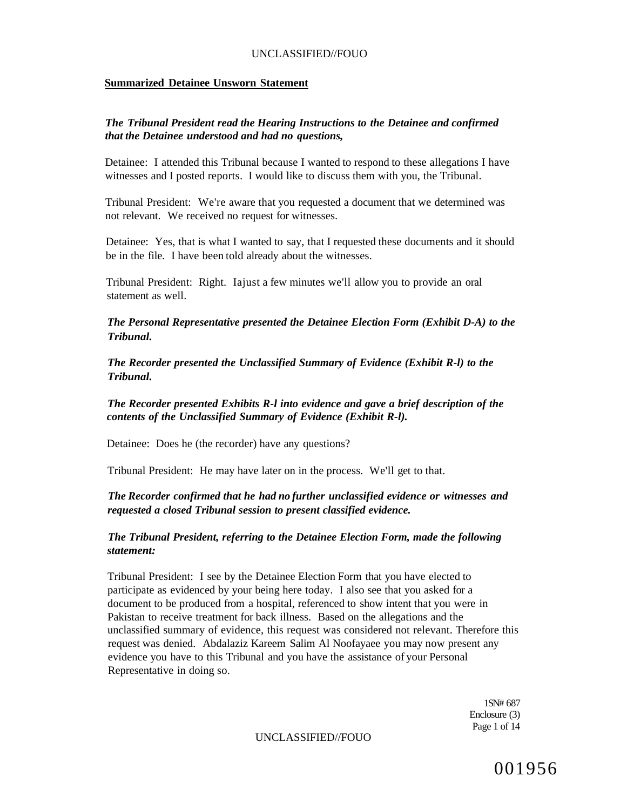#### **Summarized Detainee Unsworn Statement**

## *The Tribunal President read the Hearing Instructions to the Detainee and confirmed that the Detainee understood and had no questions,*

Detainee: I attended this Tribunal because I wanted to respond to these allegations I have witnesses and I posted reports. I would like to discuss them with you, the Tribunal.

Tribunal President: We're aware that you requested a document that we determined was not relevant. We received no request for witnesses.

Detainee: Yes, that is what I wanted to say, that I requested these documents and it should be in the file. I have been told already about the witnesses.

Tribunal President: Right. Iajust a few minutes we'll allow you to provide an oral statement as well.

*The Personal Representative presented the Detainee Election Form (Exhibit D-A) to the Tribunal.* 

*The Recorder presented the Unclassified Summary of Evidence (Exhibit R-l) to the Tribunal.* 

*The Recorder presented Exhibits R-l into evidence and gave a brief description of the contents of the Unclassified Summary of Evidence (Exhibit R-l).* 

Detainee: Does he (the recorder) have any questions?

Tribunal President: He may have later on in the process. We'll get to that.

## *The Recorder confirmed that he had no further unclassified evidence or witnesses and requested a closed Tribunal session to present classified evidence.*

*The Tribunal President, referring to the Detainee Election Form, made the following statement:* 

Tribunal President: I see by the Detainee Election Form that you have elected to participate as evidenced by your being here today. I also see that you asked for a document to be produced from a hospital, referenced to show intent that you were in Pakistan to receive treatment for back illness. Based on the allegations and the unclassified summary of evidence, this request was considered not relevant. Therefore this request was denied. Abdalaziz Kareem Salim Al Noofayaee you may now present any evidence you have to this Tribunal and you have the assistance of your Personal Representative in doing so.

> 1SN# 687 Enclosure (3) Page 1 of 14

UNCLASSIFIED//FOUO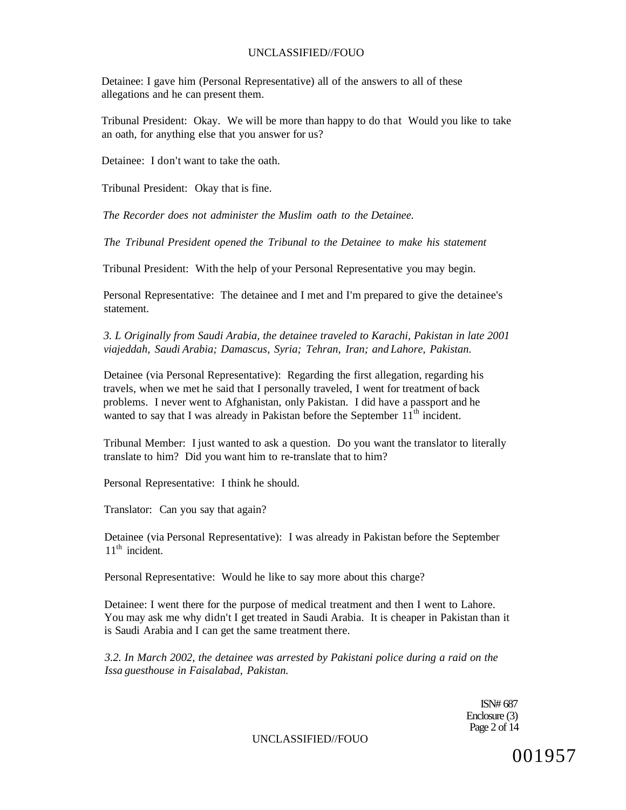Detainee: I gave him (Personal Representative) all of the answers to all of these allegations and he can present them.

Tribunal President: Okay. We will be more than happy to do that Would you like to take an oath, for anything else that you answer for us?

Detainee: I don't want to take the oath.

Tribunal President: Okay that is fine.

*The Recorder does not administer the Muslim oath to the Detainee.* 

*The Tribunal President opened the Tribunal to the Detainee to make his statement* 

Tribunal President: With the help of your Personal Representative you may begin.

Personal Representative: The detainee and I met and I'm prepared to give the detainee's statement.

*3. L Originally from Saudi Arabia, the detainee traveled to Karachi, Pakistan in late 2001 viajeddah, Saudi Arabia; Damascus, Syria; Tehran, Iran; and Lahore, Pakistan.* 

Detainee (via Personal Representative): Regarding the first allegation, regarding his travels, when we met he said that I personally traveled, I went for treatment of back problems. I never went to Afghanistan, only Pakistan. I did have a passport and he wanted to say that I was already in Pakistan before the September  $11<sup>th</sup>$  incident.

Tribunal Member: I just wanted to ask a question. Do you want the translator to literally translate to him? Did you want him to re-translate that to him?

Personal Representative: I think he should.

Translator: Can you say that again?

Detainee (via Personal Representative): I was already in Pakistan before the September 11<sup>th</sup> incident.

Personal Representative: Would he like to say more about this charge?

Detainee: I went there for the purpose of medical treatment and then I went to Lahore. You may ask me why didn't I get treated in Saudi Arabia. It is cheaper in Pakistan than it is Saudi Arabia and I can get the same treatment there.

*3.2. In March 2002, the detainee was arrested by Pakistani police during a raid on the Issa guesthouse in Faisalabad, Pakistan.* 

> ISN# 687 Enclosure (3) Page 2 of 14

UNCLASSIFIED//FOUO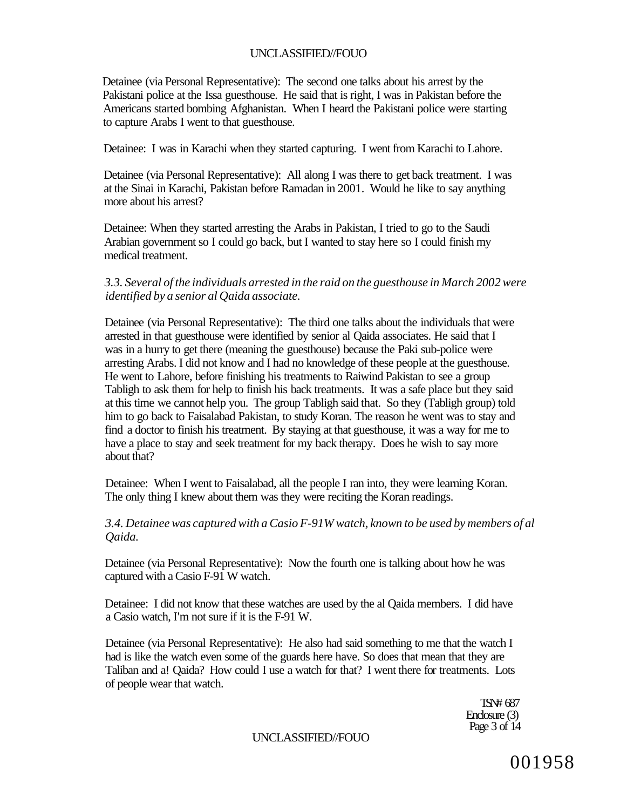Detainee (via Personal Representative): The second one talks about his arrest by the Pakistani police at the Issa guesthouse. He said that is right, I was in Pakistan before the Americans started bombing Afghanistan. When I heard the Pakistani police were starting to capture Arabs I went to that guesthouse.

Detainee: I was in Karachi when they started capturing. I went from Karachi to Lahore.

Detainee (via Personal Representative): All along I was there to get back treatment. I was at the Sinai in Karachi, Pakistan before Ramadan in 2001. Would he like to say anything more about his arrest?

Detainee: When they started arresting the Arabs in Pakistan, I tried to go to the Saudi Arabian government so I could go back, but I wanted to stay here so I could finish my medical treatment.

## *3.3. Several of the individuals arrested in the raid on the guesthouse in March 2002 were identified by a senior al Qaida associate.*

Detainee (via Personal Representative): The third one talks about the individuals that were arrested in that guesthouse were identified by senior al Qaida associates. He said that I was in a hurry to get there (meaning the guesthouse) because the Paki sub-police were arresting Arabs. I did not know and I had no knowledge of these people at the guesthouse. He went to Lahore, before finishing his treatments to Raiwind Pakistan to see a group Tabligh to ask them for help to finish his back treatments. It was a safe place but they said at this time we cannot help you. The group Tabligh said that. So they (Tabligh group) told him to go back to Faisalabad Pakistan, to study Koran. The reason he went was to stay and find a doctor to finish his treatment. By staying at that guesthouse, it was a way for me to have a place to stay and seek treatment for my back therapy. Does he wish to say more about that?

Detainee: When I went to Faisalabad, all the people I ran into, they were learning Koran. The only thing I knew about them was they were reciting the Koran readings.

## *3.4. Detainee was captured with a Casio F-91W watch, known to be used by members of al Qaida.*

Detainee (via Personal Representative): Now the fourth one is talking about how he was captured with a Casio F-91 W watch.

Detainee: I did not know that these watches are used by the al Qaida members. I did have a Casio watch, I'm not sure if it is the F-91 W.

Detainee (via Personal Representative): He also had said something to me that the watch I had is like the watch even some of the guards here have. So does that mean that they are Taliban and a! Qaida? How could I use a watch for that? I went there for treatments. Lots of people wear that watch.

> TSN# 687 Enclosure (3) Page 3 of 14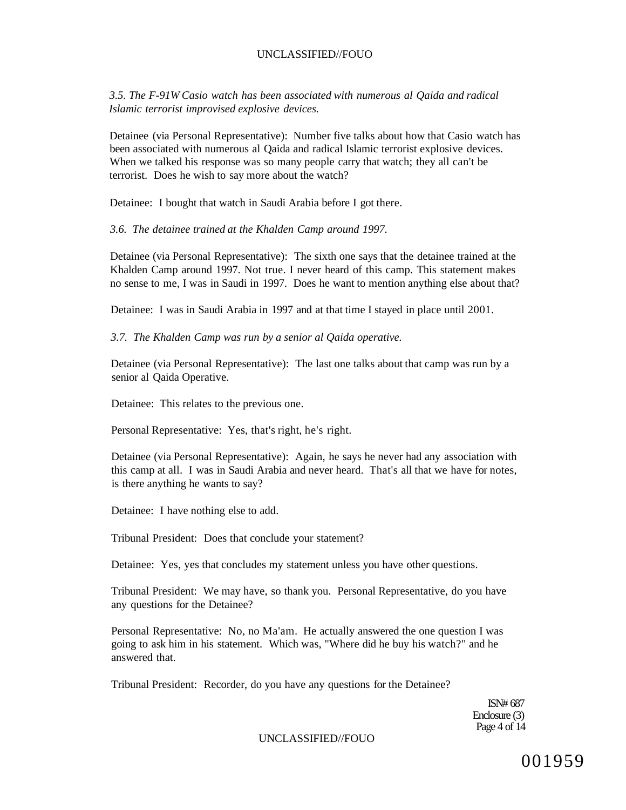*3.5. The F-91W Casio watch has been associated with numerous al Qaida and radical Islamic terrorist improvised explosive devices.* 

Detainee (via Personal Representative): Number five talks about how that Casio watch has been associated with numerous al Qaida and radical Islamic terrorist explosive devices. When we talked his response was so many people carry that watch; they all can't be terrorist. Does he wish to say more about the watch?

Detainee: I bought that watch in Saudi Arabia before I got there.

*3.6. The detainee trained at the Khalden Camp around 1997.* 

Detainee (via Personal Representative): The sixth one says that the detainee trained at the Khalden Camp around 1997. Not true. I never heard of this camp. This statement makes no sense to me, I was in Saudi in 1997. Does he want to mention anything else about that?

Detainee: I was in Saudi Arabia in 1997 and at that time I stayed in place until 2001.

*3.7. The Khalden Camp was run by a senior al Qaida operative.* 

Detainee (via Personal Representative): The last one talks about that camp was run by a senior al Qaida Operative.

Detainee: This relates to the previous one.

Personal Representative: Yes, that's right, he's right.

Detainee (via Personal Representative): Again, he says he never had any association with this camp at all. I was in Saudi Arabia and never heard. That's all that we have for notes, is there anything he wants to say?

Detainee: I have nothing else to add.

Tribunal President: Does that conclude your statement?

Detainee: Yes, yes that concludes my statement unless you have other questions.

Tribunal President: We may have, so thank you. Personal Representative, do you have any questions for the Detainee?

Personal Representative: No, no Ma'am. He actually answered the one question I was going to ask him in his statement. Which was, "Where did he buy his watch?" and he answered that.

Tribunal President: Recorder, do you have any questions for the Detainee?

ISN# 687 Enclosure (3) Page 4 of 14

### UNCLASSIFIED//FOUO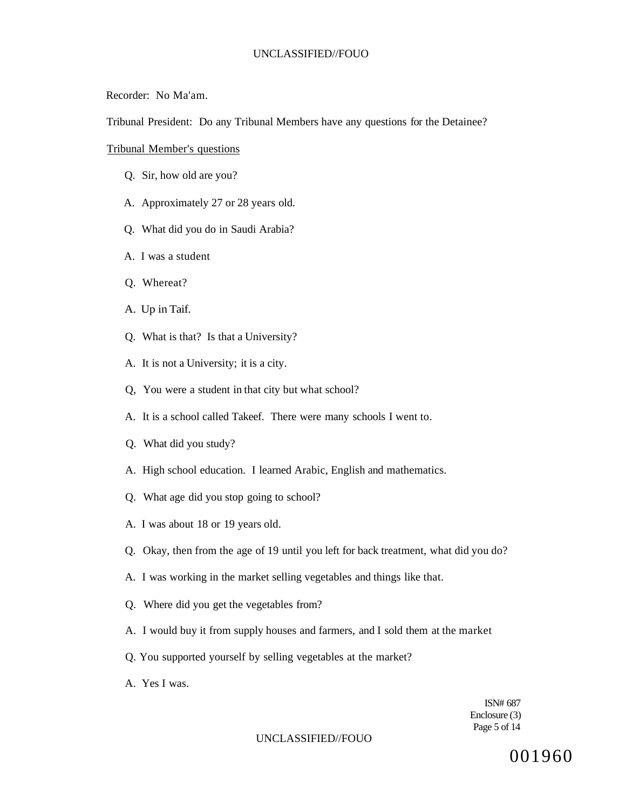Recorder: No Ma'am.

Tribunal President: Do any Tribunal Members have any questions for the Detainee?

Tribunal Member's questions

- Q. Sir, how old are you?
- A. Approximately 27 or 28 years old.
- Q. What did you do in Saudi Arabia?
- A. I was a student
- Q. Whereat?
- A. Up in Taif.
- Q. What is that? Is that a University?
- A. It is not a University; it is a city.
- Q, You were a student in that city but what school?
- A. It is a school called Takeef. There were many schools I went to.
- Q. What did you study?
- A. High school education. I learned Arabic, English and mathematics.
- Q. What age did you stop going to school?
- A. I was about 18 or 19 years old.
- Q. Okay, then from the age of 19 until you left for back treatment, what did you do?
- A. I was working in the market selling vegetables and things like that.
- Q. Where did you get the vegetables from?
- A. I would buy it from supply houses and farmers, and I sold them at the market
- Q. You supported yourself by selling vegetables at the market?
- A. Yes I was.

ISN# 687 Enclosure (3) Page 5 of 14

#### UNCLASSIFIED//FOUO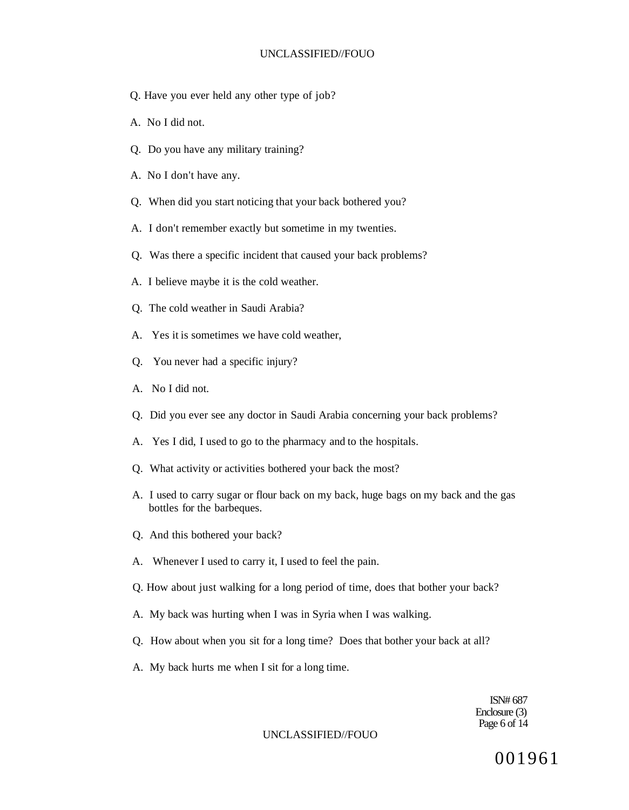- Q. Have you ever held any other type of job?
- A. No I did not.
- Q. Do you have any military training?
- A. No I don't have any.
- Q. When did you start noticing that your back bothered you?
- A. I don't remember exactly but sometime in my twenties.
- Q. Was there a specific incident that caused your back problems?
- A. I believe maybe it is the cold weather.
- Q. The cold weather in Saudi Arabia?
- A. Yes it is sometimes we have cold weather,
- Q. You never had a specific injury?
- A. No I did not.
- Q. Did you ever see any doctor in Saudi Arabia concerning your back problems?
- A. Yes I did, I used to go to the pharmacy and to the hospitals.
- Q. What activity or activities bothered your back the most?
- A. I used to carry sugar or flour back on my back, huge bags on my back and the gas bottles for the barbeques.
- Q. And this bothered your back?
- A. Whenever I used to carry it, I used to feel the pain.
- Q. How about just walking for a long period of time, does that bother your back?
- A. My back was hurting when I was in Syria when I was walking.
- Q. How about when you sit for a long time? Does that bother your back at all?
- A. My back hurts me when I sit for a long time.

ISN# 687 Enclosure (3) Page 6 of 14

#### UNCLASSIFIED//FOUO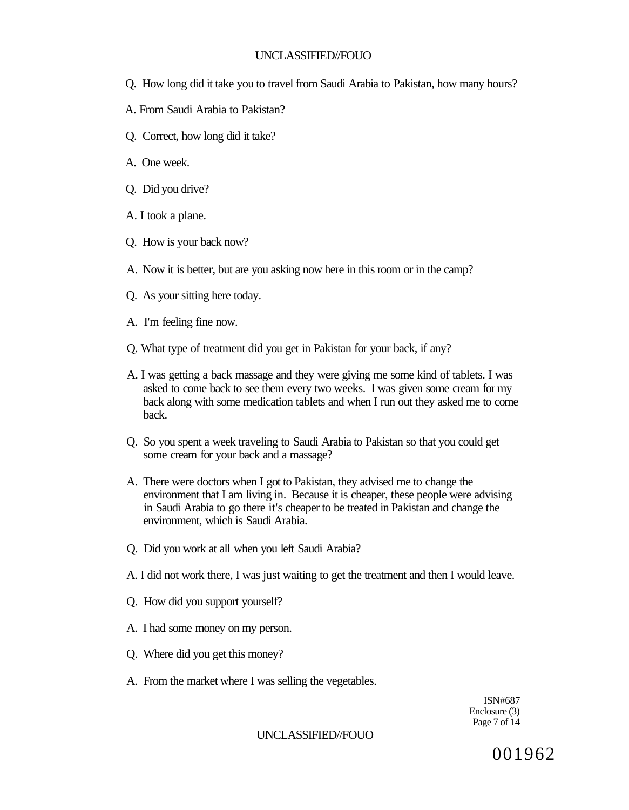- Q. How long did it take you to travel from Saudi Arabia to Pakistan, how many hours?
- A. From Saudi Arabia to Pakistan?
- Q. Correct, how long did it take?
- A. One week.
- Q. Did you drive?
- A. I took a plane.
- Q. How is your back now?
- A. Now it is better, but are you asking now here in this room or in the camp?
- Q. As your sitting here today.
- A. I'm feeling fine now.
- Q. What type of treatment did you get in Pakistan for your back, if any?
- A. I was getting a back massage and they were giving me some kind of tablets. I was asked to come back to see them every two weeks. I was given some cream for my back along with some medication tablets and when I run out they asked me to come back.
- Q. So you spent a week traveling to Saudi Arabia to Pakistan so that you could get some cream for your back and a massage?
- A. There were doctors when I got to Pakistan, they advised me to change the environment that I am living in. Because it is cheaper, these people were advising in Saudi Arabia to go there it's cheaper to be treated in Pakistan and change the environment, which is Saudi Arabia.
- Q. Did you work at all when you left Saudi Arabia?
- A. I did not work there, I was just waiting to get the treatment and then I would leave.
- Q. How did you support yourself?
- A. I had some money on my person.
- Q. Where did you get this money?
- A. From the market where I was selling the vegetables.

ISN#687 Enclosure (3) Page 7 of 14

## UNCLASSIFIED//FOUO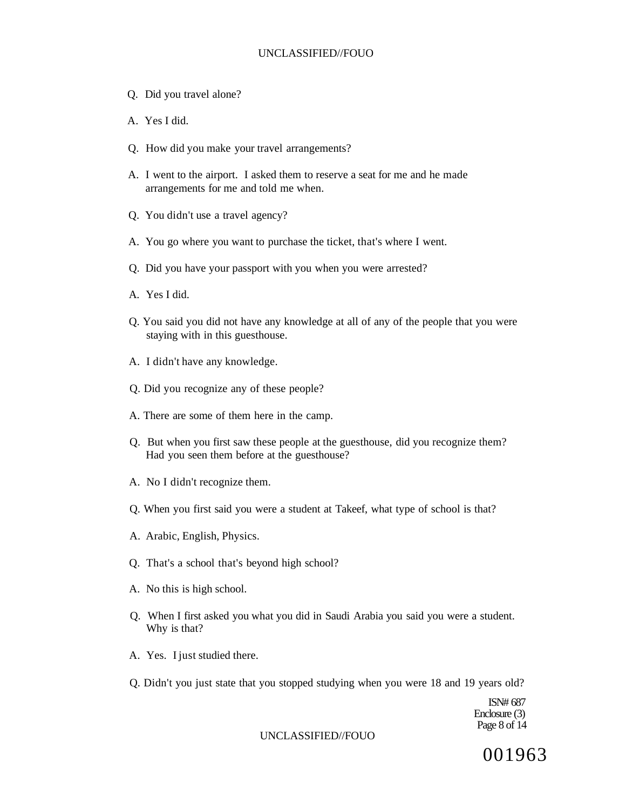- Q. Did you travel alone?
- A. Yes I did.
- Q. How did you make your travel arrangements?
- A. I went to the airport. I asked them to reserve a seat for me and he made arrangements for me and told me when.
- Q. You didn't use a travel agency?
- A. You go where you want to purchase the ticket, that's where I went.
- Q. Did you have your passport with you when you were arrested?
- A. Yes I did.
- Q. You said you did not have any knowledge at all of any of the people that you were staying with in this guesthouse.
- A. I didn't have any knowledge.
- Q. Did you recognize any of these people?
- A. There are some of them here in the camp.
- Q. But when you first saw these people at the guesthouse, did you recognize them? Had you seen them before at the guesthouse?
- A. No I didn't recognize them.
- Q. When you first said you were a student at Takeef, what type of school is that?
- A. Arabic, English, Physics.
- Q. That's a school that's beyond high school?
- A. No this is high school.
- Q. When I first asked you what you did in Saudi Arabia you said you were a student. Why is that?
- A. Yes. I just studied there.
- Q. Didn't you just state that you stopped studying when you were 18 and 19 years old?

ISN# 687 Enclosure (3) Page 8 of 14

#### UNCLASSIFIED//FOUO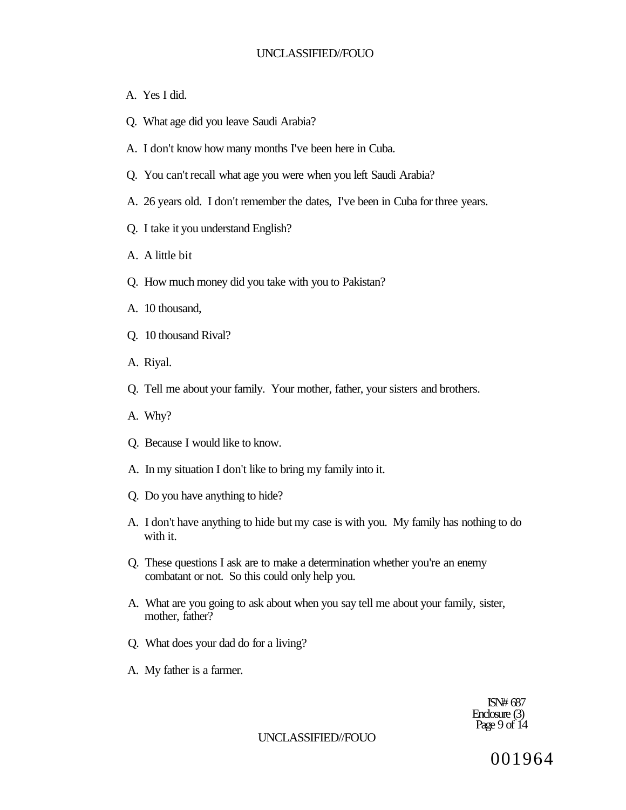- A. Yes I did.
- Q. What age did you leave Saudi Arabia?
- A. I don't know how many months I've been here in Cuba.
- Q. You can't recall what age you were when you left Saudi Arabia?
- A. 26 years old. I don't remember the dates, I've been in Cuba for three years.
- Q. I take it you understand English?
- A. A little bit
- Q. How much money did you take with you to Pakistan?
- A. 10 thousand,
- Q. 10 thousand Rival?
- A. Riyal.
- Q. Tell me about your family. Your mother, father, your sisters and brothers.
- A. Why?
- Q. Because I would like to know.
- A. In my situation I don't like to bring my family into it.
- Q. Do you have anything to hide?
- A. I don't have anything to hide but my case is with you. My family has nothing to do with it.
- Q. These questions I ask are to make a determination whether you're an enemy combatant or not. So this could only help you.
- A. What are you going to ask about when you say tell me about your family, sister, mother, father?
- Q. What does your dad do for a living?
- A. My father is a farmer.

ISN# 687 Enclosure (3) Page 9 of 14

#### UNCLASSIFIED//FOUO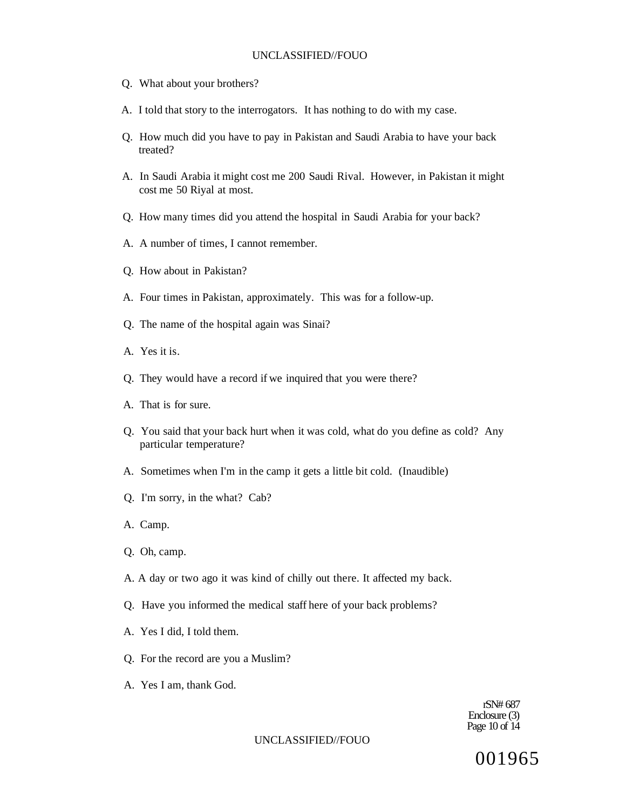- Q. What about your brothers?
- A. I told that story to the interrogators. It has nothing to do with my case.
- Q. How much did you have to pay in Pakistan and Saudi Arabia to have your back treated?
- A. In Saudi Arabia it might cost me 200 Saudi Rival. However, in Pakistan it might cost me 50 Riyal at most.
- Q. How many times did you attend the hospital in Saudi Arabia for your back?
- A. A number of times, I cannot remember.
- Q. How about in Pakistan?
- A. Four times in Pakistan, approximately. This was for a follow-up.
- Q. The name of the hospital again was Sinai?
- A. Yes it is.
- Q. They would have a record if we inquired that you were there?
- A. That is for sure.
- Q. You said that your back hurt when it was cold, what do you define as cold? Any particular temperature?
- A. Sometimes when I'm in the camp it gets a little bit cold. (Inaudible)
- Q. I'm sorry, in the what? Cab?
- A. Camp.
- Q. Oh, camp.
- A. A day or two ago it was kind of chilly out there. It affected my back.
- Q. Have you informed the medical staff here of your back problems?
- A. Yes I did, I told them.
- Q. For the record are you a Muslim?
- A. Yes I am, thank God.

rSN# 687 Enclosure (3) Page 10 of 14

#### UNCLASSIFIED//FOUO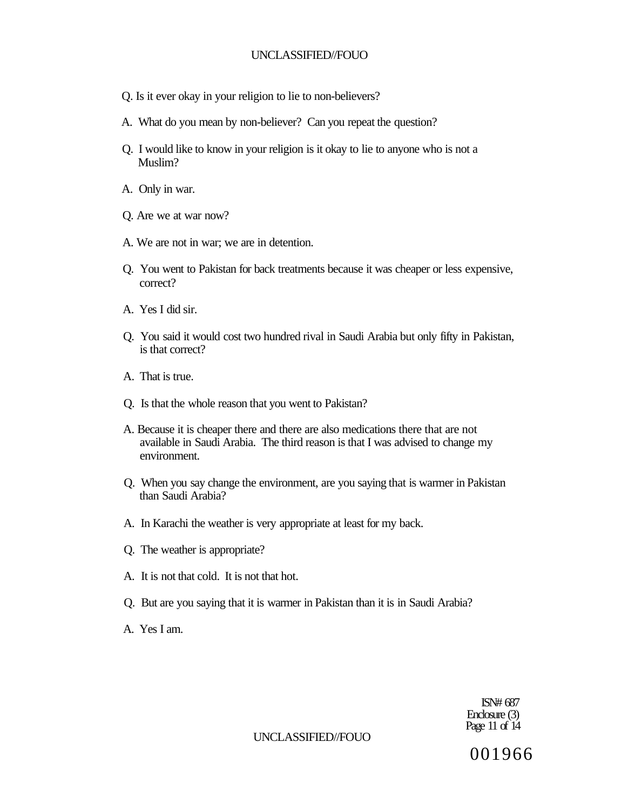- Q. Is it ever okay in your religion to lie to non-believers?
- A. What do you mean by non-believer? Can you repeat the question?
- Q. I would like to know in your religion is it okay to lie to anyone who is not a Muslim?
- A. Only in war.
- Q. Are we at war now?
- A. We are not in war; we are in detention.
- Q. You went to Pakistan for back treatments because it was cheaper or less expensive, correct?
- A. Yes I did sir.
- Q. You said it would cost two hundred rival in Saudi Arabia but only fifty in Pakistan, is that correct?
- A. That is true.
- Q. Is that the whole reason that you went to Pakistan?
- A. Because it is cheaper there and there are also medications there that are not available in Saudi Arabia. The third reason is that I was advised to change my environment.
- Q. When you say change the environment, are you saying that is warmer in Pakistan than Saudi Arabia?
- A. In Karachi the weather is very appropriate at least for my back.
- Q. The weather is appropriate?
- A. It is not that cold. It is not that hot.
- Q. But are you saying that it is warmer in Pakistan than it is in Saudi Arabia?
- A. Yes I am.

ISN# 687 Enclosure (3) Page 11 of 14

#### UNCLASSIFIED//FOUO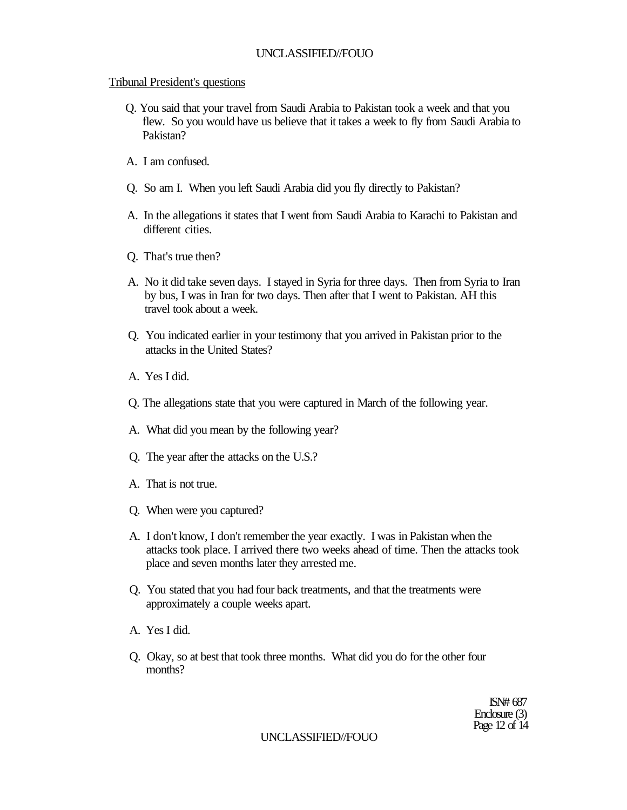# Tribunal President's questions

- Q. You said that your travel from Saudi Arabia to Pakistan took a week and that you flew. So you would have us believe that it takes a week to fly from Saudi Arabia to Pakistan?
- A. I am confused.
- Q. So am I. When you left Saudi Arabia did you fly directly to Pakistan?
- A. In the allegations it states that I went from Saudi Arabia to Karachi to Pakistan and different cities.
- Q. That's true then?
- A. No it did take seven days. I stayed in Syria for three days. Then from Syria to Iran by bus, I was in Iran for two days. Then after that I went to Pakistan. AH this travel took about a week.
- Q. You indicated earlier in your testimony that you arrived in Pakistan prior to the attacks in the United States?
- A. Yes I did.
- Q. The allegations state that you were captured in March of the following year.
- A. What did you mean by the following year?
- Q. The year after the attacks on the U.S.?
- A. That is not true.
- Q. When were you captured?
- A. I don't know, I don't remember the year exactly. I was in Pakistan when the attacks took place. I arrived there two weeks ahead of time. Then the attacks took place and seven months later they arrested me.
- Q. You stated that you had four back treatments, and that the treatments were approximately a couple weeks apart.
- A. Yes I did.
- Q. Okay, so at best that took three months. What did you do for the other four months?

ISN# 687 Enclosure (3) Page 12 of 14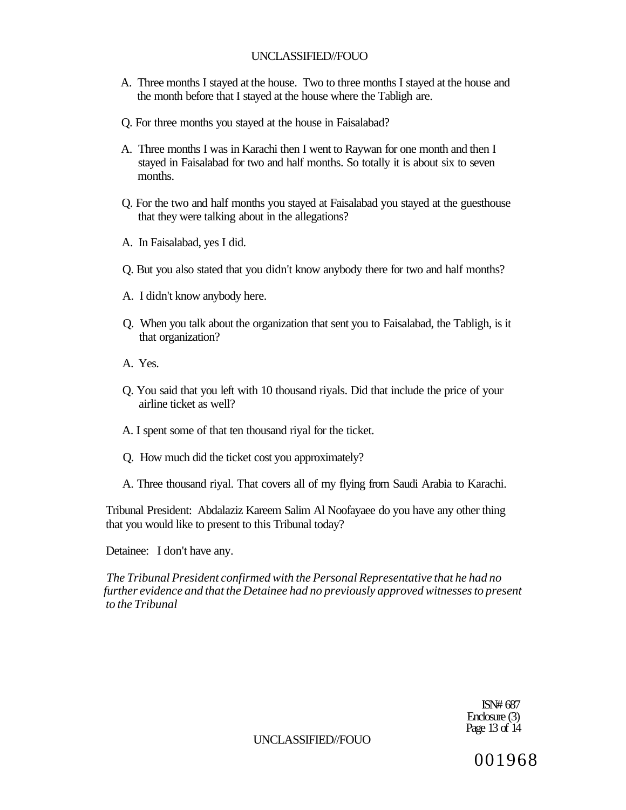- A. Three months I stayed at the house. Two to three months I stayed at the house and the month before that I stayed at the house where the Tabligh are.
- Q. For three months you stayed at the house in Faisalabad?
- A. Three months I was in Karachi then I went to Raywan for one month and then I stayed in Faisalabad for two and half months. So totally it is about six to seven months.
- Q. For the two and half months you stayed at Faisalabad you stayed at the guesthouse that they were talking about in the allegations?
- A. In Faisalabad, yes I did.
- Q. But you also stated that you didn't know anybody there for two and half months?
- A. I didn't know anybody here.
- Q. When you talk about the organization that sent you to Faisalabad, the Tabligh, is it that organization?
- A. Yes.
- Q. You said that you left with 10 thousand riyals. Did that include the price of your airline ticket as well?
- A. I spent some of that ten thousand riyal for the ticket.
- Q. How much did the ticket cost you approximately?
- A. Three thousand riyal. That covers all of my flying from Saudi Arabia to Karachi.

Tribunal President: Abdalaziz Kareem Salim Al Noofayaee do you have any other thing that you would like to present to this Tribunal today?

Detainee: I don't have any.

*The Tribunal President confirmed with the Personal Representative that he had no further evidence and that the Detainee had no previously approved witnesses to present to the Tribunal* 

> ISN# 687 Enclosure (3) Page 13 of 14

UNCLASSIFIED//FOUO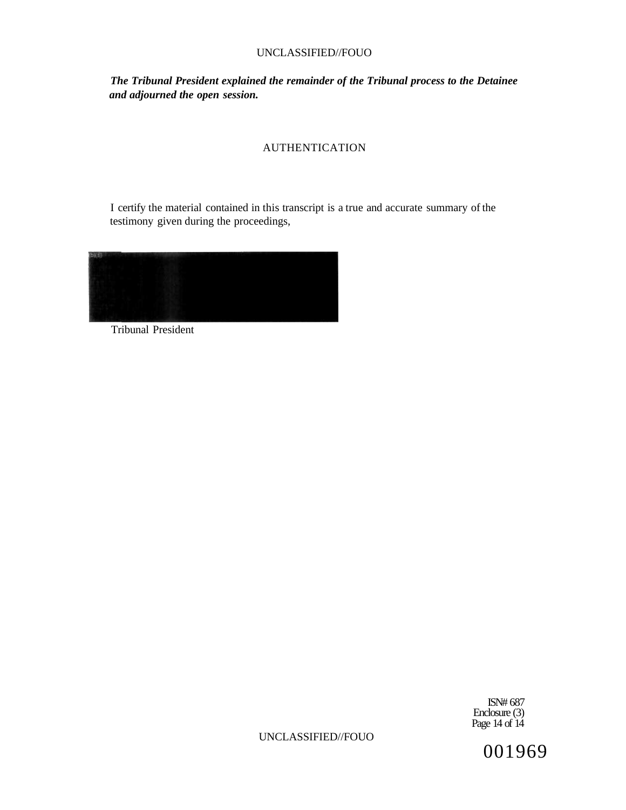*The Tribunal President explained the remainder of the Tribunal process to the Detainee and adjourned the open session.* 

# AUTHENTICATION

I certify the material contained in this transcript is a true and accurate summary of the testimony given during the proceedings,



Tribunal President

ISN# 687 Enclosure (3) Page 14 of 14

UNCLASSIFIED//FOUO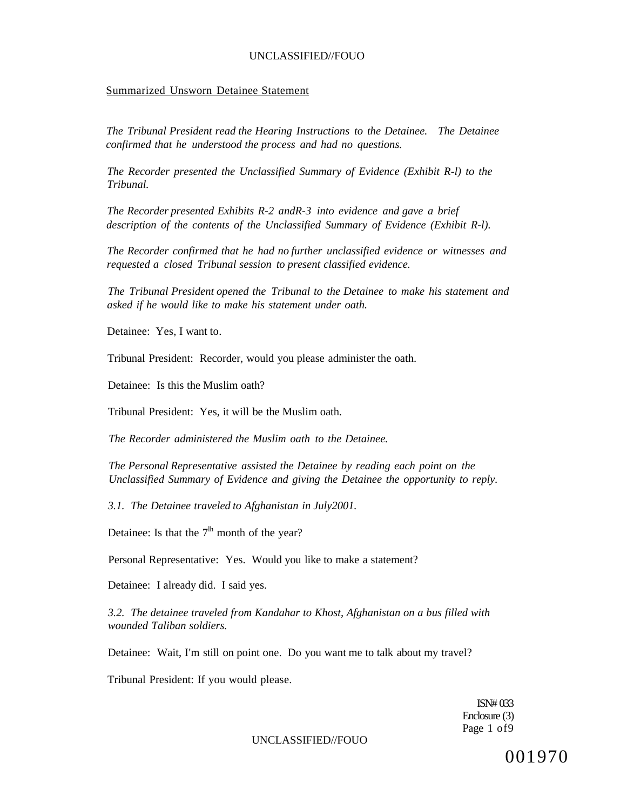#### Summarized Unsworn Detainee Statement

*The Tribunal President read the Hearing Instructions to the Detainee. The Detainee confirmed that he understood the process and had no questions.* 

*The Recorder presented the Unclassified Summary of Evidence (Exhibit R-l) to the Tribunal.* 

*The Recorder presented Exhibits R-2 andR-3 into evidence and gave a brief description of the contents of the Unclassified Summary of Evidence (Exhibit R-l).* 

*The Recorder confirmed that he had no further unclassified evidence or witnesses and requested a closed Tribunal session to present classified evidence.* 

*The Tribunal President opened the Tribunal to the Detainee to make his statement and asked if he would like to make his statement under oath.* 

Detainee: Yes, I want to.

Tribunal President: Recorder, would you please administer the oath.

Detainee: Is this the Muslim oath?

Tribunal President: Yes, it will be the Muslim oath.

*The Recorder administered the Muslim oath to the Detainee.* 

*The Personal Representative assisted the Detainee by reading each point on the Unclassified Summary of Evidence and giving the Detainee the opportunity to reply.* 

*3.1. The Detainee traveled to Afghanistan in July2001.* 

Detainee: Is that the  $7<sup>lh</sup>$  month of the year?

Personal Representative: Yes. Would you like to make a statement?

Detainee: I already did. I said yes.

*3.2. The detainee traveled from Kandahar to Khost, Afghanistan on a bus filled with wounded Taliban soldiers.* 

Detainee: Wait, I'm still on point one. Do you want me to talk about my travel?

Tribunal President: If you would please.

ISN# 033 Enclosure (3) Page 1 of9

UNCLASSIFIED//FOUO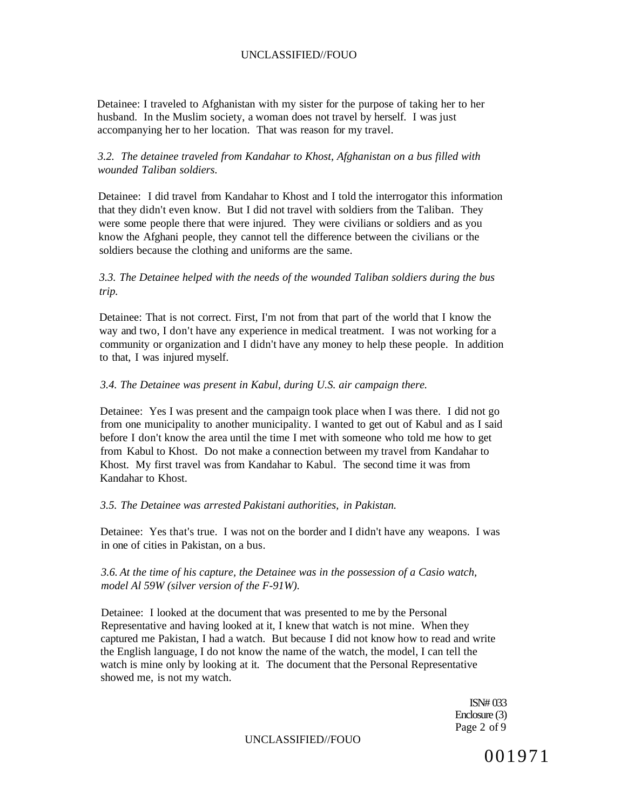Detainee: I traveled to Afghanistan with my sister for the purpose of taking her to her husband. In the Muslim society, a woman does not travel by herself. I was just accompanying her to her location. That was reason for my travel.

## *3.2. The detainee traveled from Kandahar to Khost, Afghanistan on a bus filled with wounded Taliban soldiers.*

Detainee: I did travel from Kandahar to Khost and I told the interrogator this information that they didn't even know. But I did not travel with soldiers from the Taliban. They were some people there that were injured. They were civilians or soldiers and as you know the Afghani people, they cannot tell the difference between the civilians or the soldiers because the clothing and uniforms are the same.

## *3.3. The Detainee helped with the needs of the wounded Taliban soldiers during the bus trip.*

Detainee: That is not correct. First, I'm not from that part of the world that I know the way and two, I don't have any experience in medical treatment. I was not working for a community or organization and I didn't have any money to help these people. In addition to that, I was injured myself.

### *3.4. The Detainee was present in Kabul, during U.S. air campaign there.*

Detainee: Yes I was present and the campaign took place when I was there. I did not go from one municipality to another municipality. I wanted to get out of Kabul and as I said before I don't know the area until the time I met with someone who told me how to get from Kabul to Khost. Do not make a connection between my travel from Kandahar to Khost. My first travel was from Kandahar to Kabul. The second time it was from Kandahar to Khost.

#### *3.5. The Detainee was arrested Pakistani authorities, in Pakistan.*

Detainee: Yes that's true. I was not on the border and I didn't have any weapons. I was in one of cities in Pakistan, on a bus.

*3.6. At the time of his capture, the Detainee was in the possession of a Casio watch, model Al 59W (silver version of the F-91W).* 

Detainee: I looked at the document that was presented to me by the Personal Representative and having looked at it, I knew that watch is not mine. When they captured me Pakistan, I had a watch. But because I did not know how to read and write the English language, I do not know the name of the watch, the model, I can tell the watch is mine only by looking at it. The document that the Personal Representative showed me, is not my watch.

> ISN# 033 Enclosure (3) Page 2 of 9

UNCLASSIFIED//FOUO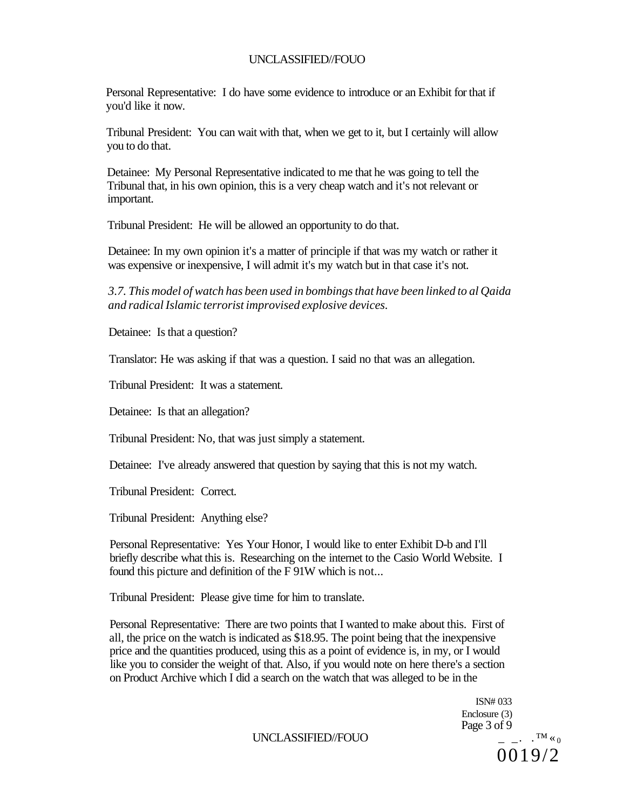Personal Representative: I do have some evidence to introduce or an Exhibit for that if you'd like it now.

Tribunal President: You can wait with that, when we get to it, but I certainly will allow you to do that.

Detainee: My Personal Representative indicated to me that he was going to tell the Tribunal that, in his own opinion, this is a very cheap watch and it's not relevant or important.

Tribunal President: He will be allowed an opportunity to do that.

Detainee: In my own opinion it's a matter of principle if that was my watch or rather it was expensive or inexpensive, I will admit it's my watch but in that case it's not.

*3.7. This model of watch has been used in bombings that have been linked to al Qaida and radical Islamic terrorist improvised explosive devices.* 

Detainee: Is that a question?

Translator: He was asking if that was a question. I said no that was an allegation.

Tribunal President: It was a statement.

Detainee: Is that an allegation?

Tribunal President: No, that was just simply a statement.

Detainee: I've already answered that question by saying that this is not my watch.

Tribunal President: Correct.

Tribunal President: Anything else?

Personal Representative: Yes Your Honor, I would like to enter Exhibit D-b and I'll briefly describe what this is. Researching on the internet to the Casio World Website. I found this picture and definition of the F 91W which is not...

Tribunal President: Please give time for him to translate.

Personal Representative: There are two points that I wanted to make about this. First of all, the price on the watch is indicated as \$18.95. The point being that the inexpensive price and the quantities produced, using this as a point of evidence is, in my, or I would like you to consider the weight of that. Also, if you would note on here there's a section on Product Archive which I did a search on the watch that was alleged to be in the

> ISN# 033 Enclosure (3) Page 3 of 9<br> $=$   $\cdot$   $\cdot$   $^{TM}$   $\leq$  0 0019/2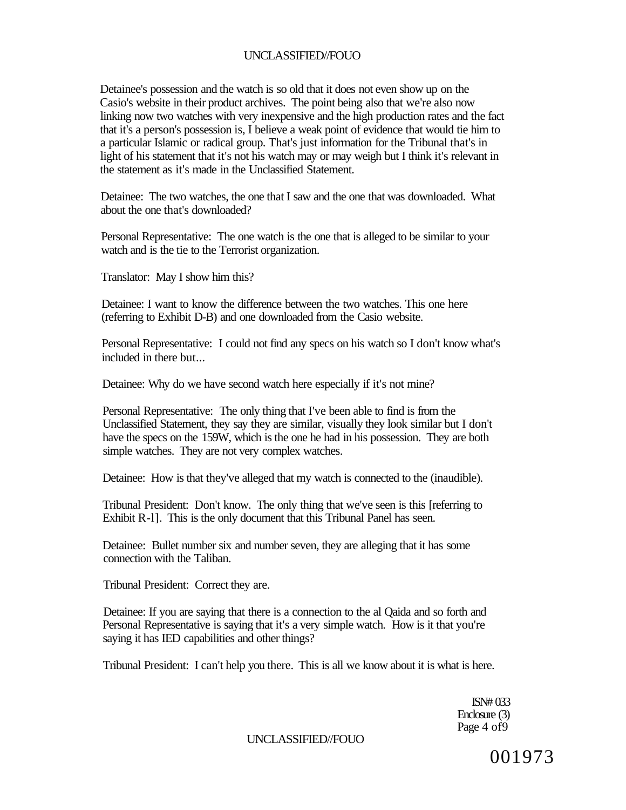Detainee's possession and the watch is so old that it does not even show up on the Casio's website in their product archives. The point being also that we're also now linking now two watches with very inexpensive and the high production rates and the fact that it's a person's possession is, I believe a weak point of evidence that would tie him to a particular Islamic or radical group. That's just information for the Tribunal that's in light of his statement that it's not his watch may or may weigh but I think it's relevant in the statement as it's made in the Unclassified Statement.

Detainee: The two watches, the one that I saw and the one that was downloaded. What about the one that's downloaded?

Personal Representative: The one watch is the one that is alleged to be similar to your watch and is the tie to the Terrorist organization.

Translator: May I show him this?

Detainee: I want to know the difference between the two watches. This one here (referring to Exhibit D-B) and one downloaded from the Casio website.

Personal Representative: I could not find any specs on his watch so I don't know what's included in there but...

Detainee: Why do we have second watch here especially if it's not mine?

Personal Representative: The only thing that I've been able to find is from the Unclassified Statement, they say they are similar, visually they look similar but I don't have the specs on the 159W, which is the one he had in his possession. They are both simple watches. They are not very complex watches.

Detainee: How is that they've alleged that my watch is connected to the (inaudible).

Tribunal President: Don't know. The only thing that we've seen is this [referring to Exhibit R-l]. This is the only document that this Tribunal Panel has seen.

Detainee: Bullet number six and number seven, they are alleging that it has some connection with the Taliban.

Tribunal President: Correct they are.

Detainee: If you are saying that there is a connection to the al Qaida and so forth and Personal Representative is saying that it's a very simple watch. How is it that you're saying it has IED capabilities and other things?

Tribunal President: I can't help you there. This is all we know about it is what is here.

ISN# 033 Enclosure (3) Page 4 of 9

UNCLASSIFIED//FOUO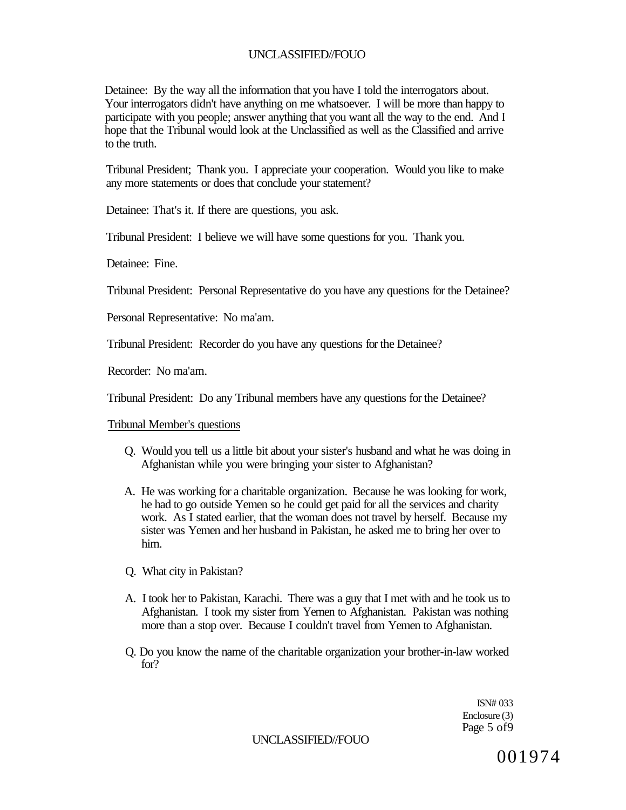Detainee: By the way all the information that you have I told the interrogators about. Your interrogators didn't have anything on me whatsoever. I will be more than happy to participate with you people; answer anything that you want all the way to the end. And I hope that the Tribunal would look at the Unclassified as well as the Classified and arrive to the truth.

Tribunal President; Thank you. I appreciate your cooperation. Would you like to make any more statements or does that conclude your statement?

Detainee: That's it. If there are questions, you ask.

Tribunal President: I believe we will have some questions for you. Thank you.

Detainee: Fine.

Tribunal President: Personal Representative do you have any questions for the Detainee?

Personal Representative: No ma'am.

Tribunal President: Recorder do you have any questions for the Detainee?

Recorder: No ma'am.

Tribunal President: Do any Tribunal members have any questions for the Detainee?

Tribunal Member's questions

- Q. Would you tell us a little bit about your sister's husband and what he was doing in Afghanistan while you were bringing your sister to Afghanistan?
- A. He was working for a charitable organization. Because he was looking for work, he had to go outside Yemen so he could get paid for all the services and charity work. As I stated earlier, that the woman does not travel by herself. Because my sister was Yemen and her husband in Pakistan, he asked me to bring her over to him.
- Q. What city in Pakistan?
- A. I took her to Pakistan, Karachi. There was a guy that I met with and he took us to Afghanistan. I took my sister from Yemen to Afghanistan. Pakistan was nothing more than a stop over. Because I couldn't travel from Yemen to Afghanistan.
- Q. Do you know the name of the charitable organization your brother-in-law worked for?

ISN# 033 Enclosure (3) Page 5 of 9

UNCLASSIFIED//FOUO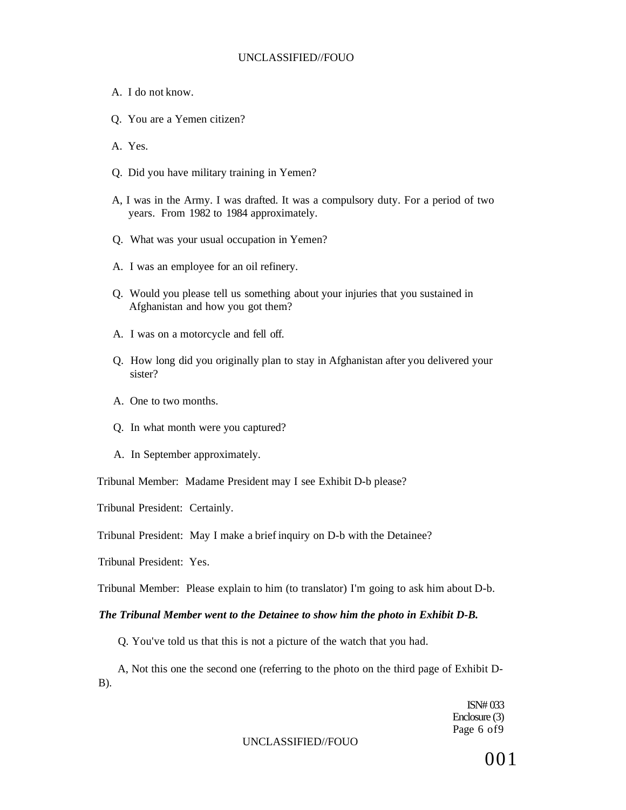- A. I do not know.
- Q. You are a Yemen citizen?
- A. Yes.
- Q. Did you have military training in Yemen?
- A, I was in the Army. I was drafted. It was a compulsory duty. For a period of two years. From 1982 to 1984 approximately.
- Q. What was your usual occupation in Yemen?
- A. I was an employee for an oil refinery.
- Q. Would you please tell us something about your injuries that you sustained in Afghanistan and how you got them?
- A. I was on a motorcycle and fell off.
- Q. How long did you originally plan to stay in Afghanistan after you delivered your sister?
- A. One to two months.
- Q. In what month were you captured?
- A. In September approximately.

Tribunal Member: Madame President may I see Exhibit D-b please?

Tribunal President: Certainly.

Tribunal President: May I make a brief inquiry on D-b with the Detainee?

Tribunal President: Yes.

Tribunal Member: Please explain to him (to translator) I'm going to ask him about D-b.

#### *The Tribunal Member went to the Detainee to show him the photo in Exhibit D-B.*

Q. You've told us that this is not a picture of the watch that you had.

A, Not this one the second one (referring to the photo on the third page of Exhibit D-B).

> ISN# 033 Enclosure (3) Page 6 of9

#### UNCLASSIFIED//FOUO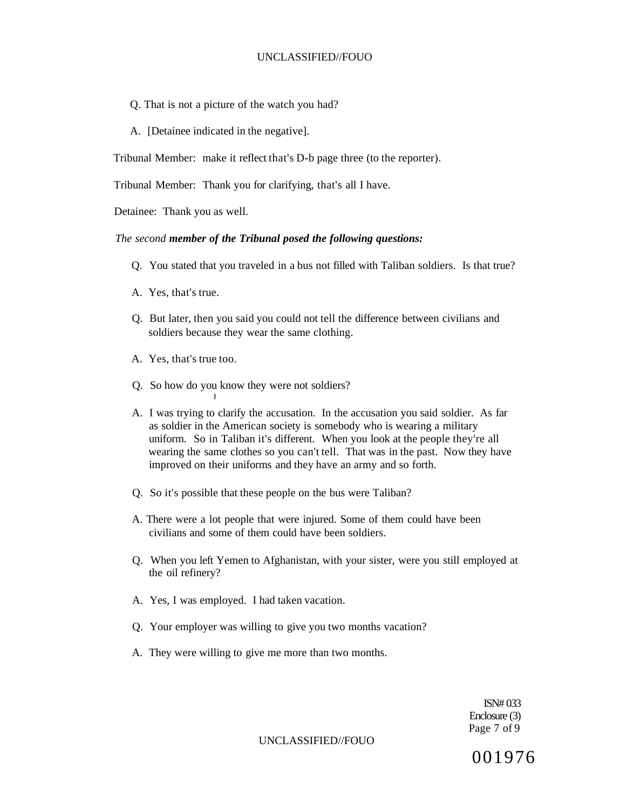- Q. That is not a picture of the watch you had?
- A. [Detainee indicated in the negative].

Tribunal Member: make it reflect that's D-b page three (to the reporter).

Tribunal Member: Thank you for clarifying, that's all I have.

Detainee: Thank you as well.

#### *The second member of the Tribunal posed the following questions:*

- Q. You stated that you traveled in a bus not filled with Taliban soldiers. Is that true?
- A. Yes, that's true.
- Q. But later, then you said you could not tell the difference between civilians and soldiers because they wear the same clothing.
- A. Yes, that's true too.
- Q. So how do you know they were not soldiers?

**#** 

- A. I was trying to clarify the accusation. In the accusation you said soldier. As far as soldier in the American society is somebody who is wearing a military uniform. So in Taliban it's different. When you look at the people they're all wearing the same clothes so you can't tell. That was in the past. Now they have improved on their uniforms and they have an army and so forth.
- Q. So it's possible that these people on the bus were Taliban?
- A. There were a lot people that were injured. Some of them could have been civilians and some of them could have been soldiers.
- Q. When you left Yemen to Afghanistan, with your sister, were you still employed at the oil refinery?
- A. Yes, I was employed. I had taken vacation.
- Q. Your employer was willing to give you two months vacation?
- A. They were willing to give me more than two months.

ISN# 033 Enclosure (3) Page 7 of 9

UNCLASSIFIED//FOUO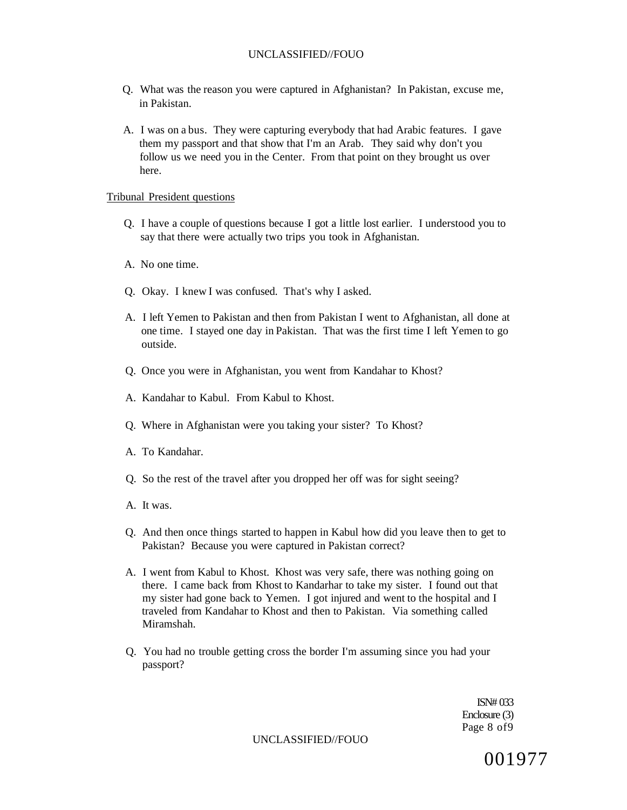- Q. What was the reason you were captured in Afghanistan? In Pakistan, excuse me, in Pakistan.
- A. I was on a bus. They were capturing everybody that had Arabic features. I gave them my passport and that show that I'm an Arab. They said why don't you follow us we need you in the Center. From that point on they brought us over here.

#### Tribunal President questions

- Q. I have a couple of questions because I got a little lost earlier. I understood you to say that there were actually two trips you took in Afghanistan.
- A. No one time.
- Q. Okay. I knew I was confused. That's why I asked.
- A. I left Yemen to Pakistan and then from Pakistan I went to Afghanistan, all done at one time. I stayed one day in Pakistan. That was the first time I left Yemen to go outside.
- Q. Once you were in Afghanistan, you went from Kandahar to Khost?
- A. Kandahar to Kabul. From Kabul to Khost.
- Q. Where in Afghanistan were you taking your sister? To Khost?
- A. To Kandahar.
- Q. So the rest of the travel after you dropped her off was for sight seeing?
- A. It was.
- Q. And then once things started to happen in Kabul how did you leave then to get to Pakistan? Because you were captured in Pakistan correct?
- A. I went from Kabul to Khost. Khost was very safe, there was nothing going on there. I came back from Khost to Kandarhar to take my sister. I found out that my sister had gone back to Yemen. I got injured and went to the hospital and I traveled from Kandahar to Khost and then to Pakistan. Via something called Miramshah.
- Q. You had no trouble getting cross the border I'm assuming since you had your passport?

ISN# 033 Enclosure (3) Page 8 of9

UNCLASSIFIED//FOUO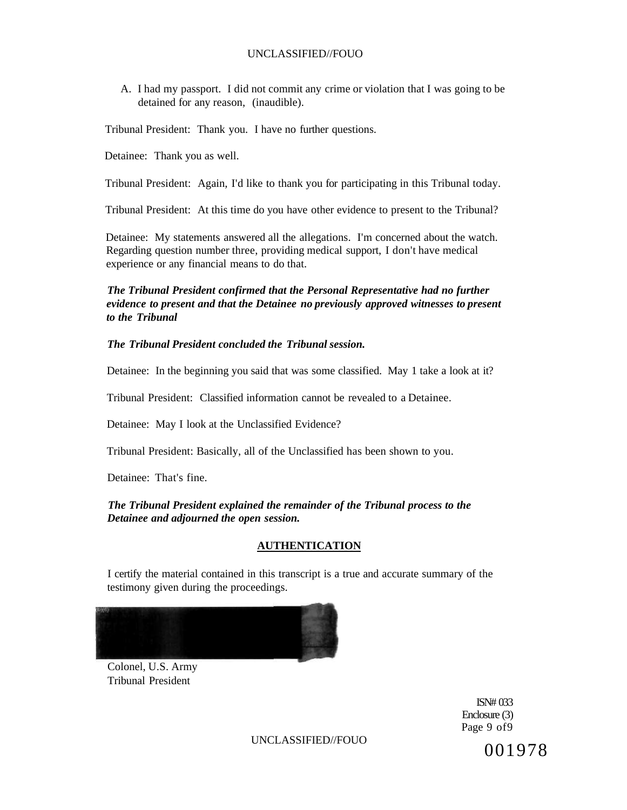A. I had my passport. I did not commit any crime or violation that I was going to be detained for any reason, (inaudible).

Tribunal President: Thank you. I have no further questions.

Detainee: Thank you as well.

Tribunal President: Again, I'd like to thank you for participating in this Tribunal today.

Tribunal President: At this time do you have other evidence to present to the Tribunal?

Detainee: My statements answered all the allegations. I'm concerned about the watch. Regarding question number three, providing medical support, I don't have medical experience or any financial means to do that.

## *The Tribunal President confirmed that the Personal Representative had no further evidence to present and that the Detainee no previously approved witnesses to present to the Tribunal*

## *The Tribunal President concluded the Tribunal session.*

Detainee: In the beginning you said that was some classified. May 1 take a look at it?

Tribunal President: Classified information cannot be revealed to a Detainee.

Detainee: May I look at the Unclassified Evidence?

Tribunal President: Basically, all of the Unclassified has been shown to you.

Detainee: That's fine.

*The Tribunal President explained the remainder of the Tribunal process to the Detainee and adjourned the open session.* 

#### **AUTHENTICATION**

I certify the material contained in this transcript is a true and accurate summary of the testimony given during the proceedings.



Colonel, U.S. Army Tribunal President

> ISN# 033 Enclosure (3) Page 9 of9

UNCLASSIFIED//FOUO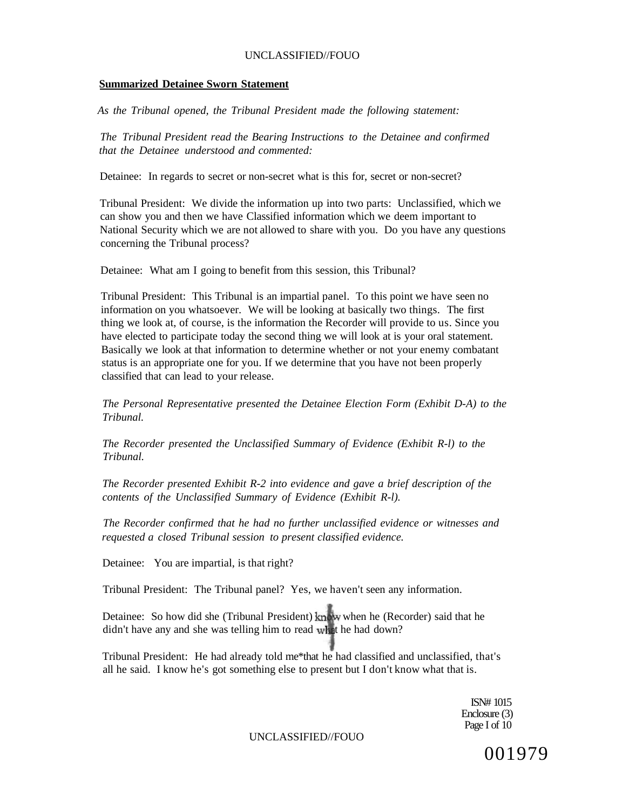#### **Summarized Detainee Sworn Statement**

*As the Tribunal opened, the Tribunal President made the following statement:* 

*The Tribunal President read the Bearing Instructions to the Detainee and confirmed that the Detainee understood and commented:* 

Detainee: In regards to secret or non-secret what is this for, secret or non-secret?

Tribunal President: We divide the information up into two parts: Unclassified, which we can show you and then we have Classified information which we deem important to National Security which we are not allowed to share with you. Do you have any questions concerning the Tribunal process?

Detainee: What am I going to benefit from this session, this Tribunal?

Tribunal President: This Tribunal is an impartial panel. To this point we have seen no information on you whatsoever. We will be looking at basically two things. The first thing we look at, of course, is the information the Recorder will provide to us. Since you have elected to participate today the second thing we will look at is your oral statement. Basically we look at that information to determine whether or not your enemy combatant status is an appropriate one for you. If we determine that you have not been properly classified that can lead to your release.

*The Personal Representative presented the Detainee Election Form (Exhibit D-A) to the Tribunal.* 

*The Recorder presented the Unclassified Summary of Evidence (Exhibit R-l) to the Tribunal.* 

*The Recorder presented Exhibit R-2 into evidence and gave a brief description of the contents of the Unclassified Summary of Evidence (Exhibit R-l).* 

*The Recorder confirmed that he had no further unclassified evidence or witnesses and requested a closed Tribunal session to present classified evidence.* 

Detainee: You are impartial, is that right?

Tribunal President: The Tribunal panel? Yes, we haven't seen any information.

Detainee: So how did she (Tribunal President) know when he (Recorder) said that he didn't have any and she was telling him to read what he had down?

Tribunal President: He had already told me\*that he had classified and unclassified, that's all he said. I know he's got something else to present but I don't know what that is.

> ISN# 1015 Enclosure (3) Page I of 10

UNCLASSIFIED//FOUO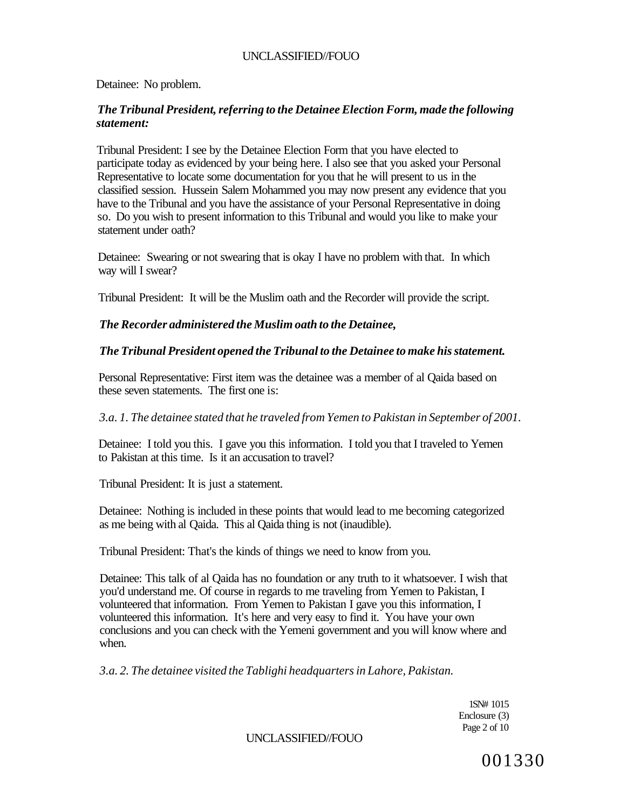Detainee: No problem.

# *The Tribunal President, referring to the Detainee Election Form, made the following statement:*

Tribunal President: I see by the Detainee Election Form that you have elected to participate today as evidenced by your being here. I also see that you asked your Personal Representative to locate some documentation for you that he will present to us in the classified session. Hussein Salem Mohammed you may now present any evidence that you have to the Tribunal and you have the assistance of your Personal Representative in doing so. Do you wish to present information to this Tribunal and would you like to make your statement under oath?

Detainee: Swearing or not swearing that is okay I have no problem with that. In which way will I swear?

Tribunal President: It will be the Muslim oath and the Recorder will provide the script.

# *The Recorder administered the Muslim oath to the Detainee,*

# *The Tribunal President opened the Tribunal to the Detainee to make his statement.*

Personal Representative: First item was the detainee was a member of al Qaida based on these seven statements. The first one is:

# *3.a. 1. The detainee stated that he traveled from Yemen to Pakistan in September of 2001.*

Detainee: I told you this. I gave you this information. I told you that I traveled to Yemen to Pakistan at this time. Is it an accusation to travel?

Tribunal President: It is just a statement.

Detainee: Nothing is included in these points that would lead to me becoming categorized as me being with al Qaida. This al Qaida thing is not (inaudible).

Tribunal President: That's the kinds of things we need to know from you.

Detainee: This talk of al Qaida has no foundation or any truth to it whatsoever. I wish that you'd understand me. Of course in regards to me traveling from Yemen to Pakistan, I volunteered that information. From Yemen to Pakistan I gave you this information, I volunteered this information. It's here and very easy to find it. You have your own conclusions and you can check with the Yemeni government and you will know where and when.

*3.a. 2. The detainee visited the Tablighi headquarters in Lahore, Pakistan.* 

1SN# 1015 Enclosure (3) Page 2 of 10

UNCLASSIFIED//FOUO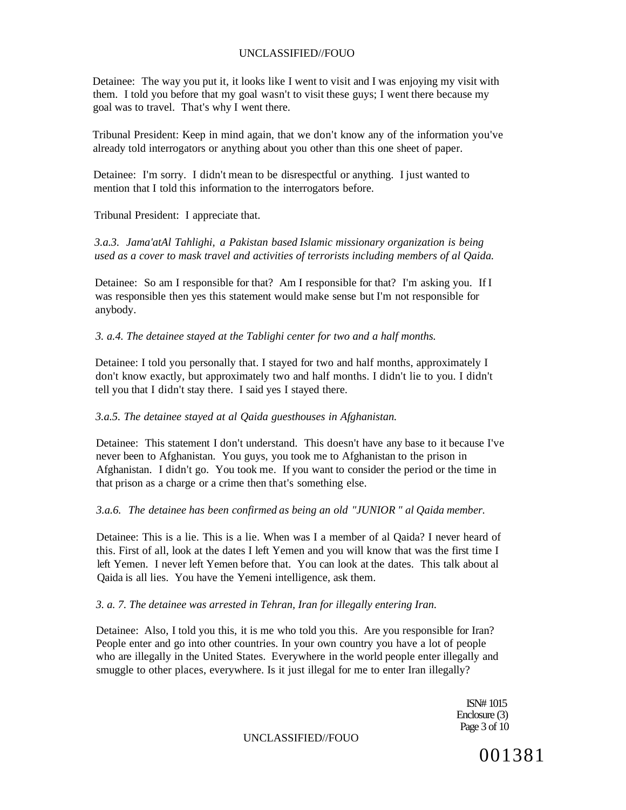Detainee: The way you put it, it looks like I went to visit and I was enjoying my visit with them. I told you before that my goal wasn't to visit these guys; I went there because my goal was to travel. That's why I went there.

Tribunal President: Keep in mind again, that we don't know any of the information you've already told interrogators or anything about you other than this one sheet of paper.

Detainee: I'm sorry. I didn't mean to be disrespectful or anything. I just wanted to mention that I told this information to the interrogators before.

Tribunal President: I appreciate that.

*3.a.3. Jama'atAl Tahlighi, a Pakistan based Islamic missionary organization is being used as a cover to mask travel and activities of terrorists including members of al Qaida.* 

Detainee: So am I responsible for that? Am I responsible for that? I'm asking you. If I was responsible then yes this statement would make sense but I'm not responsible for anybody.

### *3. a.4. The detainee stayed at the Tablighi center for two and a half months.*

Detainee: I told you personally that. I stayed for two and half months, approximately I don't know exactly, but approximately two and half months. I didn't lie to you. I didn't tell you that I didn't stay there. I said yes I stayed there.

## *3.a.5. The detainee stayed at al Qaida guesthouses in Afghanistan.*

Detainee: This statement I don't understand. This doesn't have any base to it because I've never been to Afghanistan. You guys, you took me to Afghanistan to the prison in Afghanistan. I didn't go. You took me. If you want to consider the period or the time in that prison as a charge or a crime then that's something else.

#### *3.a.6. The detainee has been confirmed as being an old "JUNIOR " al Qaida member.*

Detainee: This is a lie. This is a lie. When was I a member of al Qaida? I never heard of this. First of all, look at the dates I left Yemen and you will know that was the first time I left Yemen. I never left Yemen before that. You can look at the dates. This talk about al Qaida is all lies. You have the Yemeni intelligence, ask them.

## *3. a. 7. The detainee was arrested in Tehran, Iran for illegally entering Iran.*

Detainee: Also, I told you this, it is me who told you this. Are you responsible for Iran? People enter and go into other countries. In your own country you have a lot of people who are illegally in the United States. Everywhere in the world people enter illegally and smuggle to other places, everywhere. Is it just illegal for me to enter Iran illegally?

> ISN# 1015 Enclosure (3) Page 3 of 10

UNCLASSIFIED//FOUO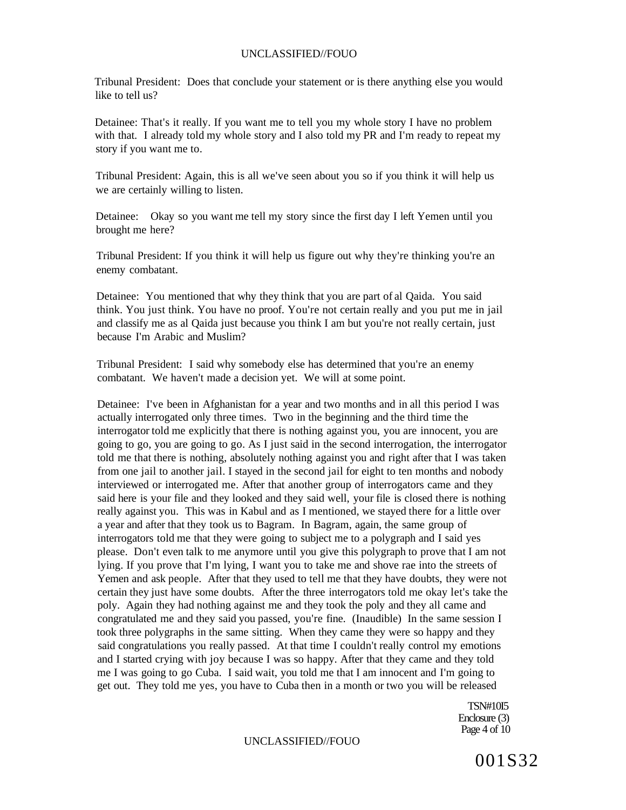Tribunal President: Does that conclude your statement or is there anything else you would like to tell us?

Detainee: That's it really. If you want me to tell you my whole story I have no problem with that. I already told my whole story and I also told my PR and I'm ready to repeat my story if you want me to.

Tribunal President: Again, this is all we've seen about you so if you think it will help us we are certainly willing to listen.

Detainee: Okay so you want me tell my story since the first day I left Yemen until you brought me here?

Tribunal President: If you think it will help us figure out why they're thinking you're an enemy combatant.

Detainee: You mentioned that why they think that you are part of al Qaida. You said think. You just think. You have no proof. You're not certain really and you put me in jail and classify me as al Qaida just because you think I am but you're not really certain, just because I'm Arabic and Muslim?

Tribunal President: I said why somebody else has determined that you're an enemy combatant. We haven't made a decision yet. We will at some point.

Detainee: I've been in Afghanistan for a year and two months and in all this period I was actually interrogated only three times. Two in the beginning and the third time the interrogator told me explicitly that there is nothing against you, you are innocent, you are going to go, you are going to go. As I just said in the second interrogation, the interrogator told me that there is nothing, absolutely nothing against you and right after that I was taken from one jail to another jail. I stayed in the second jail for eight to ten months and nobody interviewed or interrogated me. After that another group of interrogators came and they said here is your file and they looked and they said well, your file is closed there is nothing really against you. This was in Kabul and as I mentioned, we stayed there for a little over a year and after that they took us to Bagram. In Bagram, again, the same group of interrogators told me that they were going to subject me to a polygraph and I said yes please. Don't even talk to me anymore until you give this polygraph to prove that I am not lying. If you prove that I'm lying, I want you to take me and shove rae into the streets of Yemen and ask people. After that they used to tell me that they have doubts, they were not certain they just have some doubts. After the three interrogators told me okay let's take the poly. Again they had nothing against me and they took the poly and they all came and congratulated me and they said you passed, you're fine. (Inaudible) In the same session I took three polygraphs in the same sitting. When they came they were so happy and they said congratulations you really passed. At that time I couldn't really control my emotions and I started crying with joy because I was so happy. After that they came and they told me I was going to go Cuba. I said wait, you told me that I am innocent and I'm going to get out. They told me yes, you have to Cuba then in a month or two you will be released

> TSN#10I5 Enclosure (3) Page 4 of 10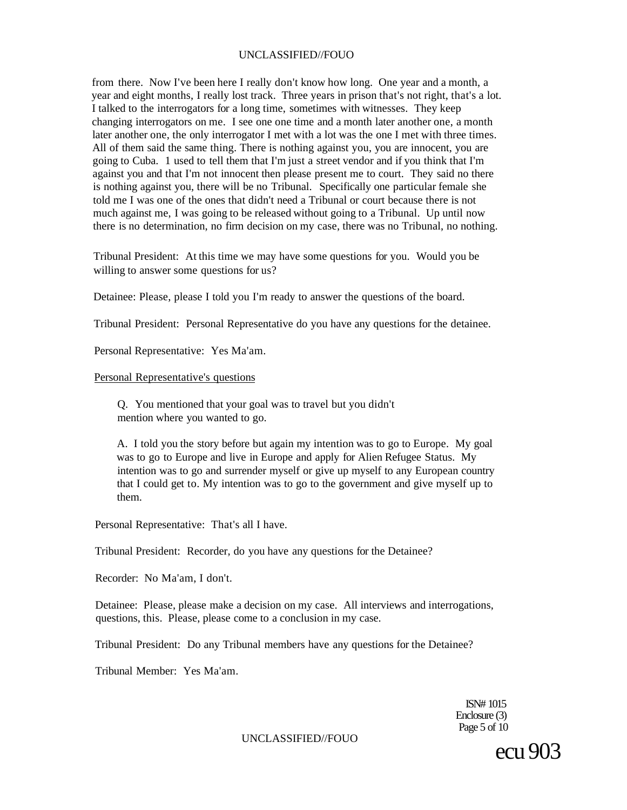from there. Now I've been here I really don't know how long. One year and a month, a year and eight months, I really lost track. Three years in prison that's not right, that's a lot. I talked to the interrogators for a long time, sometimes with witnesses. They keep changing interrogators on me. I see one one time and a month later another one, a month later another one, the only interrogator I met with a lot was the one I met with three times. All of them said the same thing. There is nothing against you, you are innocent, you are going to Cuba. 1 used to tell them that I'm just a street vendor and if you think that I'm against you and that I'm not innocent then please present me to court. They said no there is nothing against you, there will be no Tribunal. Specifically one particular female she told me I was one of the ones that didn't need a Tribunal or court because there is not much against me, I was going to be released without going to a Tribunal. Up until now there is no determination, no firm decision on my case, there was no Tribunal, no nothing.

Tribunal President: At this time we may have some questions for you. Would you be willing to answer some questions for us?

Detainee: Please, please I told you I'm ready to answer the questions of the board.

Tribunal President: Personal Representative do you have any questions for the detainee.

Personal Representative: Yes Ma'am.

#### Personal Representative's questions

Q. You mentioned that your goal was to travel but you didn't mention where you wanted to go.

A. I told you the story before but again my intention was to go to Europe. My goal was to go to Europe and live in Europe and apply for Alien Refugee Status. My intention was to go and surrender myself or give up myself to any European country that I could get to. My intention was to go to the government and give myself up to them.

Personal Representative: That's all I have.

Tribunal President: Recorder, do you have any questions for the Detainee?

Recorder: No Ma'am, I don't.

Detainee: Please, please make a decision on my case. All interviews and interrogations, questions, this. Please, please come to a conclusion in my case.

Tribunal President: Do any Tribunal members have any questions for the Detainee?

Tribunal Member: Yes Ma'am.

ISN# 1015 Enclosure (3) Page 5 of 10

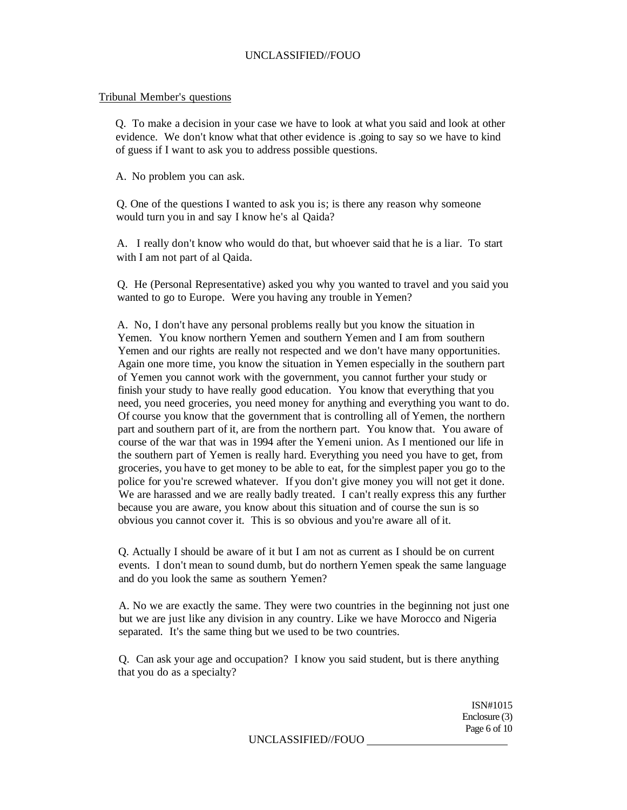#### Tribunal Member's questions

Q. To make a decision in your case we have to look at what you said and look at other evidence. We don't know what that other evidence is .going to say so we have to kind of guess if I want to ask you to address possible questions.

A. No problem you can ask.

Q. One of the questions I wanted to ask you is; is there any reason why someone would turn you in and say I know he's al Qaida?

A. I really don't know who would do that, but whoever said that he is a liar. To start with I am not part of al Qaida.

Q. He (Personal Representative) asked you why you wanted to travel and you said you wanted to go to Europe. Were you having any trouble in Yemen?

A. No, I don't have any personal problems really but you know the situation in Yemen. You know northern Yemen and southern Yemen and I am from southern Yemen and our rights are really not respected and we don't have many opportunities. Again one more time, you know the situation in Yemen especially in the southern part of Yemen you cannot work with the government, you cannot further your study or finish your study to have really good education. You know that everything that you need, you need groceries, you need money for anything and everything you want to do. Of course you know that the government that is controlling all of Yemen, the northern part and southern part of it, are from the northern part. You know that. You aware of course of the war that was in 1994 after the Yemeni union. As I mentioned our life in the southern part of Yemen is really hard. Everything you need you have to get, from groceries, you have to get money to be able to eat, for the simplest paper you go to the police for you're screwed whatever. If you don't give money you will not get it done. We are harassed and we are really badly treated. I can't really express this any further because you are aware, you know about this situation and of course the sun is so obvious you cannot cover it. This is so obvious and you're aware all of it.

Q. Actually I should be aware of it but I am not as current as I should be on current events. I don't mean to sound dumb, but do northern Yemen speak the same language and do you look the same as southern Yemen?

A. No we are exactly the same. They were two countries in the beginning not just one but we are just like any division in any country. Like we have Morocco and Nigeria separated. It's the same thing but we used to be two countries.

Q. Can ask your age and occupation? I know you said student, but is there anything that you do as a specialty?

> ISN#1015 Enclosure (3) Page 6 of 10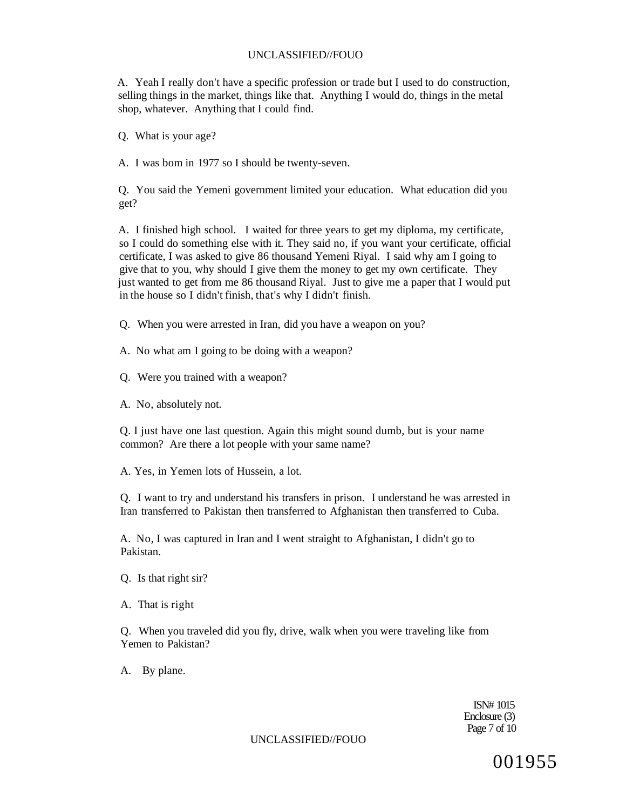A. Yeah I really don't have a specific profession or trade but I used to do construction, selling things in the market, things like that. Anything I would do, things in the metal shop, whatever. Anything that I could find.

Q. What is your age?

A. I was bom in 1977 so I should be twenty-seven.

Q. You said the Yemeni government limited your education. What education did you get?

A. I finished high school. I waited for three years to get my diploma, my certificate, so I could do something else with it. They said no, if you want your certificate, official certificate, I was asked to give 86 thousand Yemeni Riyal. I said why am I going to give that to you, why should I give them the money to get my own certificate. They just wanted to get from me 86 thousand Riyal. Just to give me a paper that I would put in the house so I didn't finish, that's why I didn't finish.

Q. When you were arrested in Iran, did you have a weapon on you?

- A. No what am I going to be doing with a weapon?
- Q. Were you trained with a weapon?
- A. No, absolutely not.

Q. I just have one last question. Again this might sound dumb, but is your name common? Are there a lot people with your same name?

A. Yes, in Yemen lots of Hussein, a lot.

Q. I want to try and understand his transfers in prison. I understand he was arrested in Iran transferred to Pakistan then transferred to Afghanistan then transferred to Cuba.

A. No, I was captured in Iran and I went straight to Afghanistan, I didn't go to Pakistan.

- Q. Is that right sir?
- A. That is right

Q. When you traveled did you fly, drive, walk when you were traveling like from Yemen to Pakistan?

A. By plane.

ISN# 1015 Enclosure (3) Page 7 of 10

UNCLASSIFIED//FOUO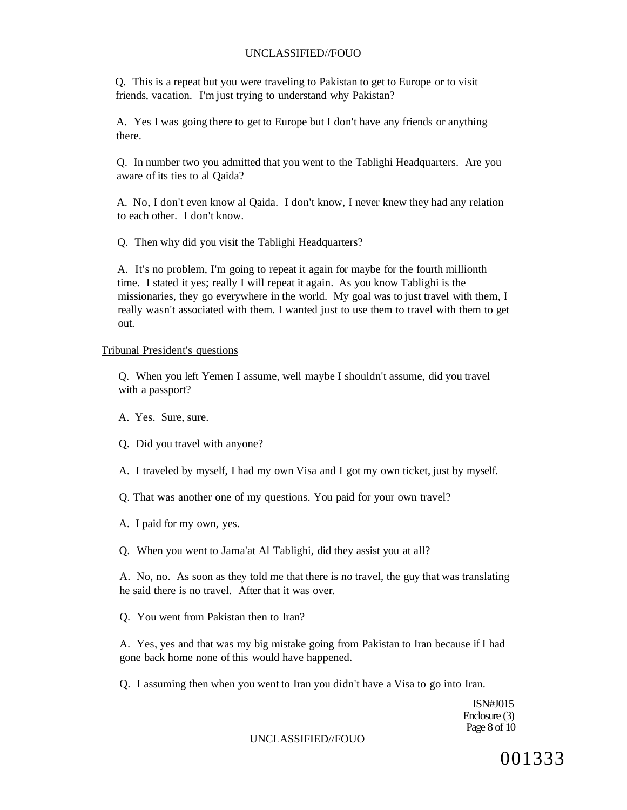Q. This is a repeat but you were traveling to Pakistan to get to Europe or to visit friends, vacation. I'm just trying to understand why Pakistan?

A. Yes I was going there to get to Europe but I don't have any friends or anything there.

Q. In number two you admitted that you went to the Tablighi Headquarters. Are you aware of its ties to al Qaida?

A. No, I don't even know al Qaida. I don't know, I never knew they had any relation to each other. I don't know.

Q. Then why did you visit the Tablighi Headquarters?

A. It's no problem, I'm going to repeat it again for maybe for the fourth millionth time. I stated it yes; really I will repeat it again. As you know Tablighi is the missionaries, they go everywhere in the world. My goal was to just travel with them, I really wasn't associated with them. I wanted just to use them to travel with them to get out.

### Tribunal President's questions

Q. When you left Yemen I assume, well maybe I shouldn't assume, did you travel with a passport?

A. Yes. Sure, sure.

Q. Did you travel with anyone?

A. I traveled by myself, I had my own Visa and I got my own ticket, just by myself.

Q. That was another one of my questions. You paid for your own travel?

A. I paid for my own, yes.

Q. When you went to Jama'at Al Tablighi, did they assist you at all?

A. No, no. As soon as they told me that there is no travel, the guy that was translating he said there is no travel. After that it was over.

Q. You went from Pakistan then to Iran?

A. Yes, yes and that was my big mistake going from Pakistan to Iran because if I had gone back home none of this would have happened.

Q. I assuming then when you went to Iran you didn't have a Visa to go into Iran.

ISN#J015 Enclosure (3) Page 8 of 10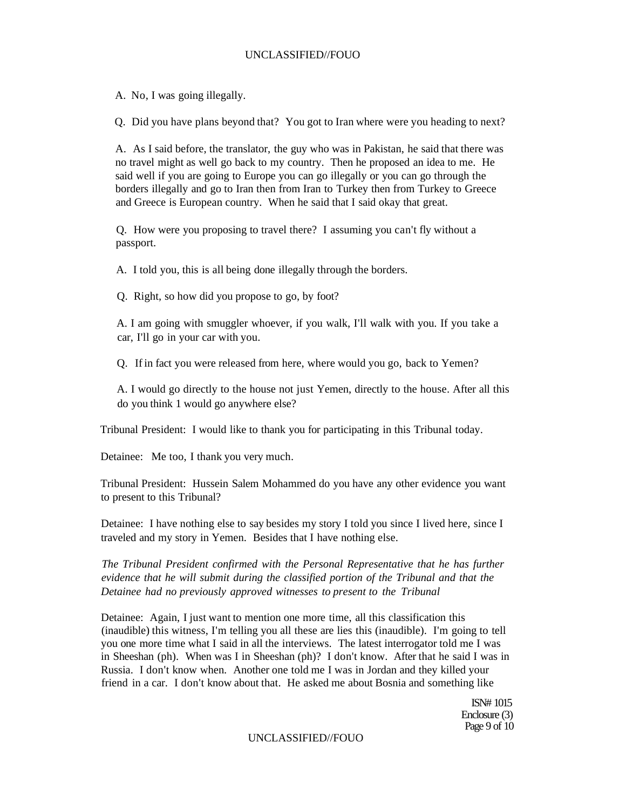A. No, I was going illegally.

Q. Did you have plans beyond that? You got to Iran where were you heading to next?

A. As I said before, the translator, the guy who was in Pakistan, he said that there was no travel might as well go back to my country. Then he proposed an idea to me. He said well if you are going to Europe you can go illegally or you can go through the borders illegally and go to Iran then from Iran to Turkey then from Turkey to Greece and Greece is European country. When he said that I said okay that great.

Q. How were you proposing to travel there? I assuming you can't fly without a passport.

A. I told you, this is all being done illegally through the borders.

Q. Right, so how did you propose to go, by foot?

A. I am going with smuggler whoever, if you walk, I'll walk with you. If you take a car, I'll go in your car with you.

Q. If in fact you were released from here, where would you go, back to Yemen?

A. I would go directly to the house not just Yemen, directly to the house. After all this do you think 1 would go anywhere else?

Tribunal President: I would like to thank you for participating in this Tribunal today.

Detainee: Me too, I thank you very much.

Tribunal President: Hussein Salem Mohammed do you have any other evidence you want to present to this Tribunal?

Detainee: I have nothing else to say besides my story I told you since I lived here, since I traveled and my story in Yemen. Besides that I have nothing else.

*The Tribunal President confirmed with the Personal Representative that he has further evidence that he will submit during the classified portion of the Tribunal and that the Detainee had no previously approved witnesses to present to the Tribunal* 

Detainee: Again, I just want to mention one more time, all this classification this (inaudible) this witness, I'm telling you all these are lies this (inaudible). I'm going to tell you one more time what I said in all the interviews. The latest interrogator told me I was in Sheeshan (ph). When was I in Sheeshan (ph)? I don't know. After that he said I was in Russia. I don't know when. Another one told me I was in Jordan and they killed your friend in a car. I don't know about that. He asked me about Bosnia and something like

> ISN# 1015 Enclosure (3) Page 9 of 10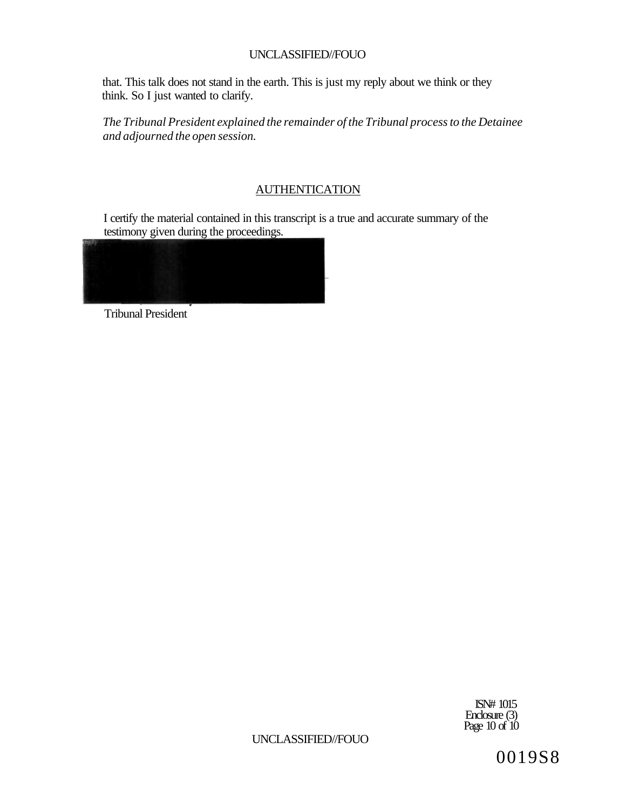that. This talk does not stand in the earth. This is just my reply about we think or they think. So I just wanted to clarify.

*The Tribunal President explained the remainder of the Tribunal process to the Detainee and adjourned the open session.* 

# **AUTHENTICATION**

I certify the material contained in this transcript is a true and accurate summary of the testimony given during the proceedings.



Tribunal President

ISN# 1015 Enclosure (3) Page 10 of 10

UNCLASSIFIED//FOUO

0019S8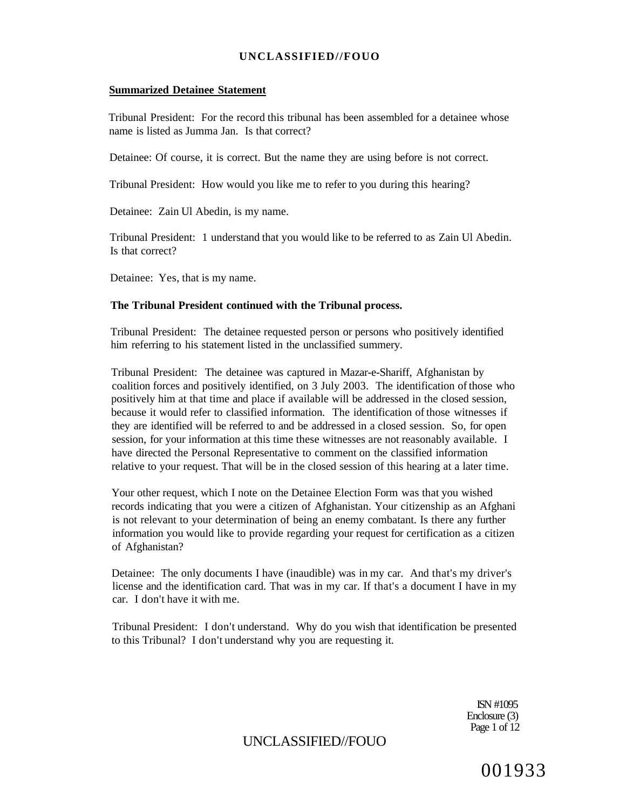### **Summarized Detainee Statement**

Tribunal President: For the record this tribunal has been assembled for a detainee whose name is listed as Jumma Jan. Is that correct?

Detainee: Of course, it is correct. But the name they are using before is not correct.

Tribunal President: How would you like me to refer to you during this hearing?

Detainee: Zain Ul Abedin, is my name.

Tribunal President: 1 understand that you would like to be referred to as Zain Ul Abedin. Is that correct?

Detainee: Yes, that is my name.

### **The Tribunal President continued with the Tribunal process.**

Tribunal President: The detainee requested person or persons who positively identified him referring to his statement listed in the unclassified summery.

Tribunal President: The detainee was captured in Mazar-e-Shariff, Afghanistan by coalition forces and positively identified, on 3 July 2003. The identification of those who positively him at that time and place if available will be addressed in the closed session, because it would refer to classified information. The identification of those witnesses if they are identified will be referred to and be addressed in a closed session. So, for open session, for your information at this time these witnesses are not reasonably available. I have directed the Personal Representative to comment on the classified information relative to your request. That will be in the closed session of this hearing at a later time.

Your other request, which I note on the Detainee Election Form was that you wished records indicating that you were a citizen of Afghanistan. Your citizenship as an Afghani is not relevant to your determination of being an enemy combatant. Is there any further information you would like to provide regarding your request for certification as a citizen of Afghanistan?

Detainee: The only documents I have (inaudible) was in my car. And that's my driver's license and the identification card. That was in my car. If that's a document I have in my car. I don't have it with me.

Tribunal President: I don't understand. Why do you wish that identification be presented to this Tribunal? I don't understand why you are requesting it.

> ISN #1095 Enclosure (3) Page 1 of 12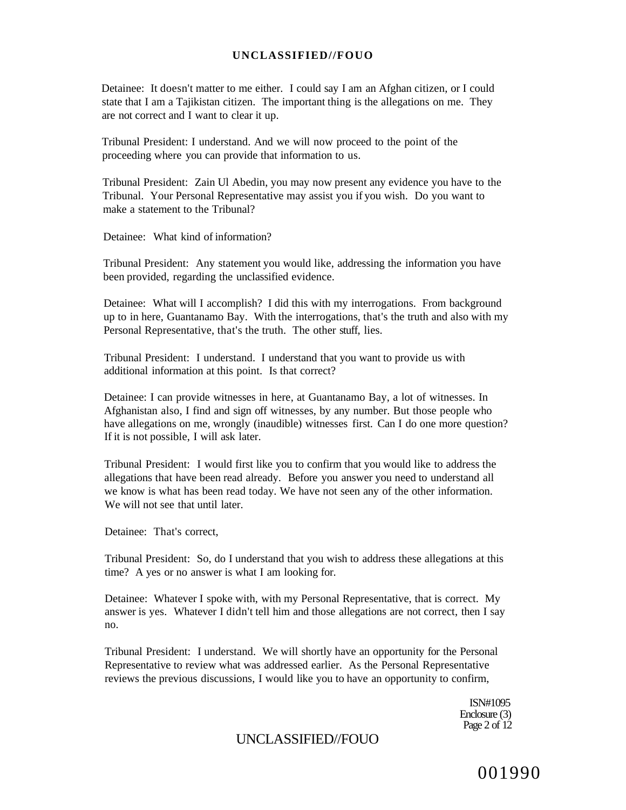Detainee: It doesn't matter to me either. I could say I am an Afghan citizen, or I could state that I am a Tajikistan citizen. The important thing is the allegations on me. They are not correct and I want to clear it up.

Tribunal President: I understand. And we will now proceed to the point of the proceeding where you can provide that information to us.

Tribunal President: Zain Ul Abedin, you may now present any evidence you have to the Tribunal. Your Personal Representative may assist you if you wish. Do you want to make a statement to the Tribunal?

Detainee: What kind of information?

Tribunal President: Any statement you would like, addressing the information you have been provided, regarding the unclassified evidence.

Detainee: What will I accomplish? I did this with my interrogations. From background up to in here, Guantanamo Bay. With the interrogations, that's the truth and also with my Personal Representative, that's the truth. The other stuff, lies.

Tribunal President: I understand. I understand that you want to provide us with additional information at this point. Is that correct?

Detainee: I can provide witnesses in here, at Guantanamo Bay, a lot of witnesses. In Afghanistan also, I find and sign off witnesses, by any number. But those people who have allegations on me, wrongly (inaudible) witnesses first. Can I do one more question? If it is not possible, I will ask later.

Tribunal President: I would first like you to confirm that you would like to address the allegations that have been read already. Before you answer you need to understand all we know is what has been read today. We have not seen any of the other information. We will not see that until later.

Detainee: That's correct,

Tribunal President: So, do I understand that you wish to address these allegations at this time? A yes or no answer is what I am looking for.

Detainee: Whatever I spoke with, with my Personal Representative, that is correct. My answer is yes. Whatever I didn't tell him and those allegations are not correct, then I say no.

Tribunal President: I understand. We will shortly have an opportunity for the Personal Representative to review what was addressed earlier. As the Personal Representative reviews the previous discussions, I would like you to have an opportunity to confirm,

> ISN#1095 Enclosure (3) Page  $2$  of  $12$

# UNCLASSIFIED//FOUO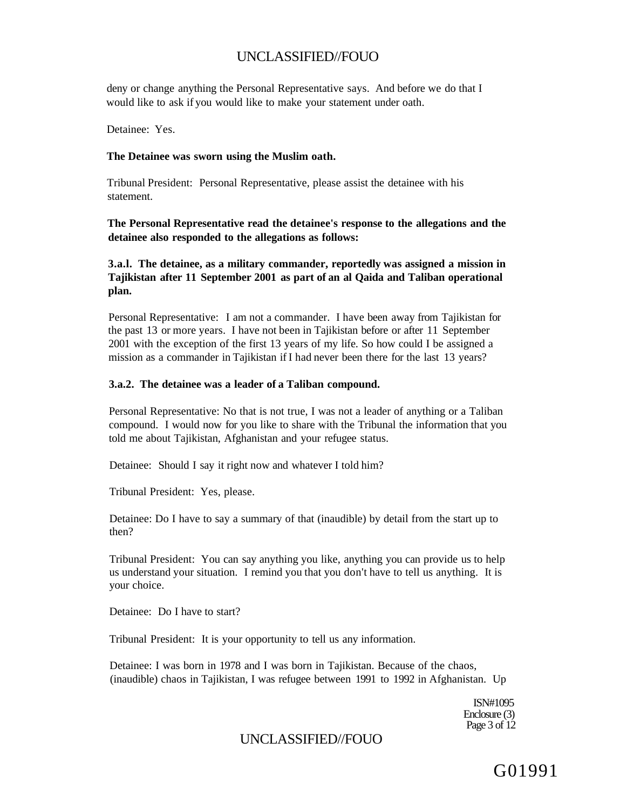deny or change anything the Personal Representative says. And before we do that I would like to ask if you would like to make your statement under oath.

Detainee: Yes.

#### **The Detainee was sworn using the Muslim oath.**

Tribunal President: Personal Representative, please assist the detainee with his statement.

**The Personal Representative read the detainee's response to the allegations and the detainee also responded to the allegations as follows:** 

**3.a.l. The detainee, as a military commander, reportedly was assigned a mission in Tajikistan after 11 September 2001 as part of an al Qaida and Taliban operational plan.** 

Personal Representative: I am not a commander. I have been away from Tajikistan for the past 13 or more years. I have not been in Tajikistan before or after 11 September 2001 with the exception of the first 13 years of my life. So how could I be assigned a mission as a commander in Tajikistan if I had never been there for the last 13 years?

#### **3.a.2. The detainee was a leader of a Taliban compound.**

Personal Representative: No that is not true, I was not a leader of anything or a Taliban compound. I would now for you like to share with the Tribunal the information that you told me about Tajikistan, Afghanistan and your refugee status.

Detainee: Should I say it right now and whatever I told him?

Tribunal President: Yes, please.

Detainee: Do I have to say a summary of that (inaudible) by detail from the start up to then?

Tribunal President: You can say anything you like, anything you can provide us to help us understand your situation. I remind you that you don't have to tell us anything. It is your choice.

Detainee: Do I have to start?

Tribunal President: It is your opportunity to tell us any information.

Detainee: I was born in 1978 and I was born in Tajikistan. Because of the chaos, (inaudible) chaos in Tajikistan, I was refugee between 1991 to 1992 in Afghanistan. Up

> ISN#1095 Enclosure (3) Page 3 of 12

# UNCLASSIFIED//FOUO

G01991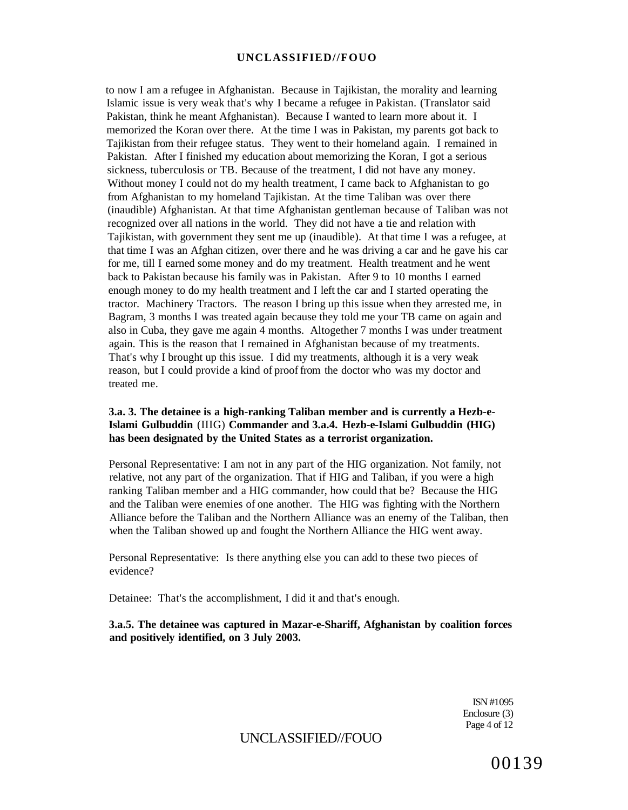to now I am a refugee in Afghanistan. Because in Tajikistan, the morality and learning Islamic issue is very weak that's why I became a refugee in Pakistan. (Translator said Pakistan, think he meant Afghanistan). Because I wanted to learn more about it. I memorized the Koran over there. At the time I was in Pakistan, my parents got back to Tajikistan from their refugee status. They went to their homeland again. I remained in Pakistan. After I finished my education about memorizing the Koran, I got a serious sickness, tuberculosis or TB. Because of the treatment, I did not have any money. Without money I could not do my health treatment, I came back to Afghanistan to go from Afghanistan to my homeland Tajikistan. At the time Taliban was over there (inaudible) Afghanistan. At that time Afghanistan gentleman because of Taliban was not recognized over all nations in the world. They did not have a tie and relation with Tajikistan, with government they sent me up (inaudible). At that time I was a refugee, at that time I was an Afghan citizen, over there and he was driving a car and he gave his car for me, till I earned some money and do my treatment. Health treatment and he went back to Pakistan because his family was in Pakistan. After 9 to 10 months I earned enough money to do my health treatment and I left the car and I started operating the tractor. Machinery Tractors. The reason I bring up this issue when they arrested me, in Bagram, 3 months I was treated again because they told me your TB came on again and also in Cuba, they gave me again 4 months. Altogether 7 months I was under treatment again. This is the reason that I remained in Afghanistan because of my treatments. That's why I brought up this issue. I did my treatments, although it is a very weak reason, but I could provide a kind of proof from the doctor who was my doctor and treated me.

## **3.a. 3. The detainee is a high-ranking Taliban member and is currently a Hezb-e-Islami Gulbuddin** (IIIG) **Commander and 3.a.4. Hezb-e-Islami Gulbuddin (HIG) has been designated by the United States as a terrorist organization.**

Personal Representative: I am not in any part of the HIG organization. Not family, not relative, not any part of the organization. That if HIG and Taliban, if you were a high ranking Taliban member and a HIG commander, how could that be? Because the HIG and the Taliban were enemies of one another. The HIG was fighting with the Northern Alliance before the Taliban and the Northern Alliance was an enemy of the Taliban, then when the Taliban showed up and fought the Northern Alliance the HIG went away.

Personal Representative: Is there anything else you can add to these two pieces of evidence?

Detainee: That's the accomplishment, I did it and that's enough.

## **3.a.5. The detainee was captured in Mazar-e-Shariff, Afghanistan by coalition forces and positively identified, on 3 July 2003.**

ISN #1095 Enclosure (3) Page 4 of 12

# UNCLASSIFIED//FOUO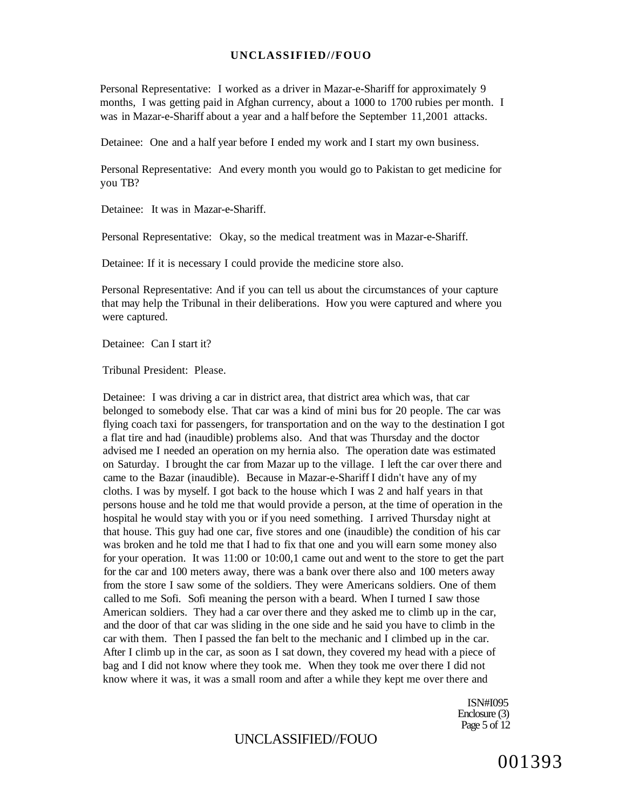Personal Representative: I worked as a driver in Mazar-e-Shariff for approximately 9 months, I was getting paid in Afghan currency, about a 1000 to 1700 rubies per month. I was in Mazar-e-Shariff about a year and a half before the September 11,2001 attacks.

Detainee: One and a half year before I ended my work and I start my own business.

Personal Representative: And every month you would go to Pakistan to get medicine for you TB?

Detainee: It was in Mazar-e-Shariff.

Personal Representative: Okay, so the medical treatment was in Mazar-e-Shariff.

Detainee: If it is necessary I could provide the medicine store also.

Personal Representative: And if you can tell us about the circumstances of your capture that may help the Tribunal in their deliberations. How you were captured and where you were captured.

Detainee: Can I start it?

Tribunal President: Please.

Detainee: I was driving a car in district area, that district area which was, that car belonged to somebody else. That car was a kind of mini bus for 20 people. The car was flying coach taxi for passengers, for transportation and on the way to the destination I got a flat tire and had (inaudible) problems also. And that was Thursday and the doctor advised me I needed an operation on my hernia also. The operation date was estimated on Saturday. I brought the car from Mazar up to the village. I left the car over there and came to the Bazar (inaudible). Because in Mazar-e-Shariff I didn't have any of my cloths. I was by myself. I got back to the house which I was 2 and half years in that persons house and he told me that would provide a person, at the time of operation in the hospital he would stay with you or if you need something. I arrived Thursday night at that house. This guy had one car, five stores and one (inaudible) the condition of his car was broken and he told me that I had to fix that one and you will earn some money also for your operation. It was 11:00 or 10:00,1 came out and went to the store to get the part for the car and 100 meters away, there was a bank over there also and 100 meters away from the store I saw some of the soldiers. They were Americans soldiers. One of them called to me Sofi. Sofi meaning the person with a beard. When I turned I saw those American soldiers. They had a car over there and they asked me to climb up in the car, and the door of that car was sliding in the one side and he said you have to climb in the car with them. Then I passed the fan belt to the mechanic and I climbed up in the car. After I climb up in the car, as soon as I sat down, they covered my head with a piece of bag and I did not know where they took me. When they took me over there I did not know where it was, it was a small room and after a while they kept me over there and

> ISN#I095 Enclosure (3) Page 5 of 12

# UNCLASSIFIED//FOUO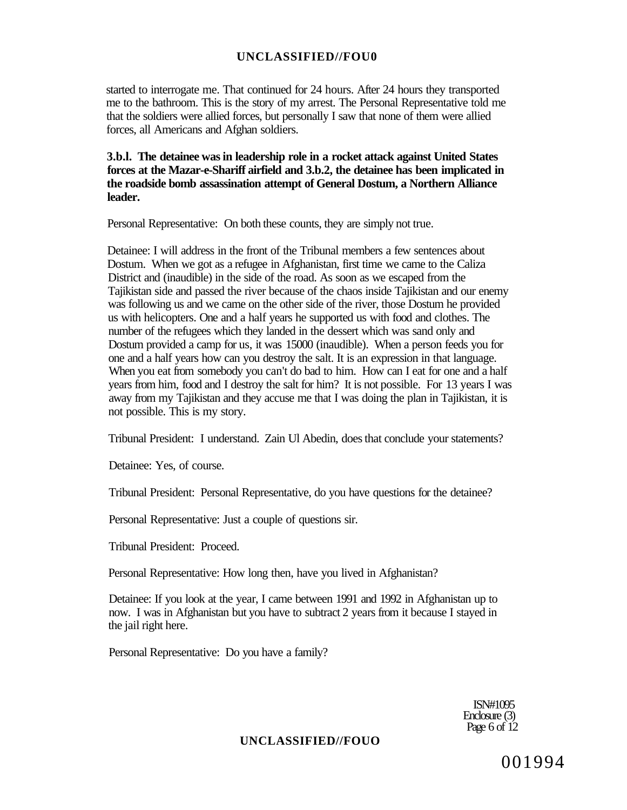started to interrogate me. That continued for 24 hours. After 24 hours they transported me to the bathroom. This is the story of my arrest. The Personal Representative told me that the soldiers were allied forces, but personally I saw that none of them were allied forces, all Americans and Afghan soldiers.

**3.b.l. The detainee was in leadership role in a rocket attack against United States forces at the Mazar-e-Shariff airfield and 3.b.2, the detainee has been implicated in the roadside bomb assassination attempt of General Dostum, a Northern Alliance leader.** 

Personal Representative: On both these counts, they are simply not true.

Detainee: I will address in the front of the Tribunal members a few sentences about Dostum. When we got as a refugee in Afghanistan, first time we came to the Caliza District and (inaudible) in the side of the road. As soon as we escaped from the Tajikistan side and passed the river because of the chaos inside Tajikistan and our enemy was following us and we came on the other side of the river, those Dostum he provided us with helicopters. One and a half years he supported us with food and clothes. The number of the refugees which they landed in the dessert which was sand only and Dostum provided a camp for us, it was 15000 (inaudible). When a person feeds you for one and a half years how can you destroy the salt. It is an expression in that language. When you eat from somebody you can't do bad to him. How can I eat for one and a half years from him, food and I destroy the salt for him? It is not possible. For 13 years I was away from my Tajikistan and they accuse me that I was doing the plan in Tajikistan, it is not possible. This is my story.

Tribunal President: I understand. Zain Ul Abedin, does that conclude your statements?

Detainee: Yes, of course.

Tribunal President: Personal Representative, do you have questions for the detainee?

Personal Representative: Just a couple of questions sir.

Tribunal President: Proceed.

Personal Representative: How long then, have you lived in Afghanistan?

Detainee: If you look at the year, I came between 1991 and 1992 in Afghanistan up to now. I was in Afghanistan but you have to subtract 2 years from it because I stayed in the jail right here.

Personal Representative: Do you have a family?

ISN#1095 Enclosure (3) Page 6 of 12

### **UNCLASSIFIED//FOUO**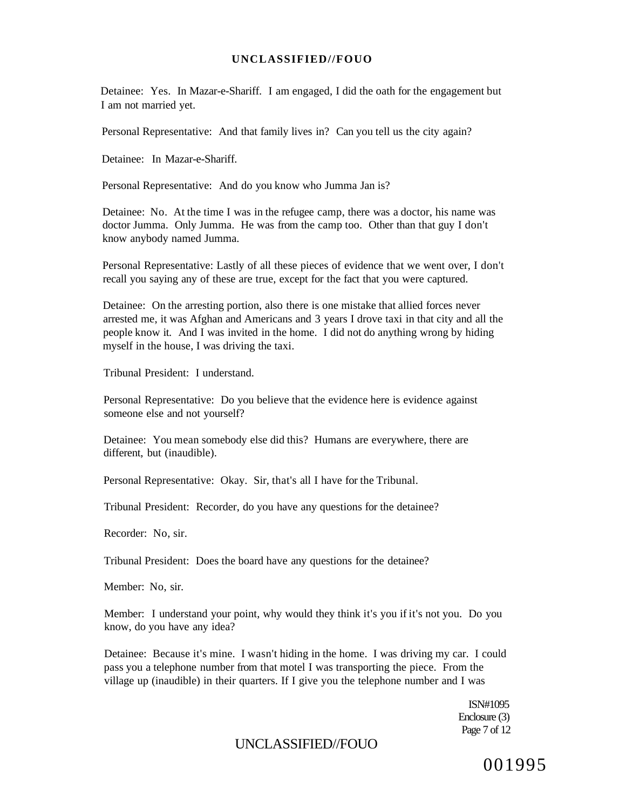Detainee: Yes. In Mazar-e-Shariff. I am engaged, I did the oath for the engagement but I am not married yet.

Personal Representative: And that family lives in? Can you tell us the city again?

Detainee: In Mazar-e-Shariff.

Personal Representative: And do you know who Jumma Jan is?

Detainee: No. At the time I was in the refugee camp, there was a doctor, his name was doctor Jumma. Only Jumma. He was from the camp too. Other than that guy I don't know anybody named Jumma.

Personal Representative: Lastly of all these pieces of evidence that we went over, I don't recall you saying any of these are true, except for the fact that you were captured.

Detainee: On the arresting portion, also there is one mistake that allied forces never arrested me, it was Afghan and Americans and 3 years I drove taxi in that city and all the people know it. And I was invited in the home. I did not do anything wrong by hiding myself in the house, I was driving the taxi.

Tribunal President: I understand.

Personal Representative: Do you believe that the evidence here is evidence against someone else and not yourself?

Detainee: You mean somebody else did this? Humans are everywhere, there are different, but (inaudible).

Personal Representative: Okay. Sir, that's all I have for the Tribunal.

Tribunal President: Recorder, do you have any questions for the detainee?

Recorder: No, sir.

Tribunal President: Does the board have any questions for the detainee?

Member: No, sir.

Member: I understand your point, why would they think it's you if it's not you. Do you know, do you have any idea?

Detainee: Because it's mine. I wasn't hiding in the home. I was driving my car. I could pass you a telephone number from that motel I was transporting the piece. From the village up (inaudible) in their quarters. If I give you the telephone number and I was

> ISN#1095 Enclosure (3) Page 7 of 12

# UNCLASSIFIED//FOUO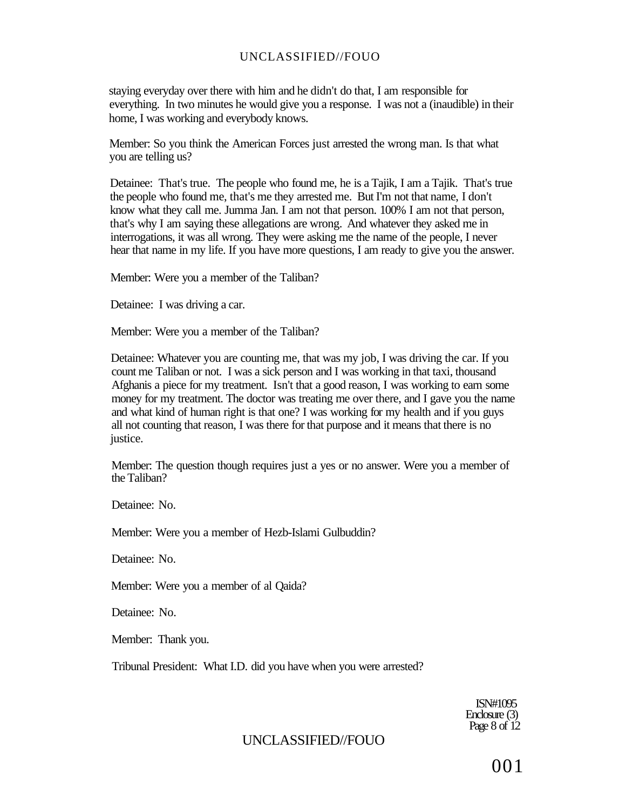staying everyday over there with him and he didn't do that, I am responsible for everything. In two minutes he would give you a response. I was not a (inaudible) in their home, I was working and everybody knows.

Member: So you think the American Forces just arrested the wrong man. Is that what you are telling us?

Detainee: That's true. The people who found me, he is a Tajik, I am a Tajik. That's true the people who found me, that's me they arrested me. But I'm not that name, I don't know what they call me. Jumma Jan. I am not that person. 100% I am not that person, that's why I am saying these allegations are wrong. And whatever they asked me in interrogations, it was all wrong. They were asking me the name of the people, I never hear that name in my life. If you have more questions, I am ready to give you the answer.

Member: Were you a member of the Taliban?

Detainee: I was driving a car.

Member: Were you a member of the Taliban?

Detainee: Whatever you are counting me, that was my job, I was driving the car. If you count me Taliban or not. I was a sick person and I was working in that taxi, thousand Afghanis a piece for my treatment. Isn't that a good reason, I was working to earn some money for my treatment. The doctor was treating me over there, and I gave you the name and what kind of human right is that one? I was working for my health and if you guys all not counting that reason, I was there for that purpose and it means that there is no justice.

Member: The question though requires just a yes or no answer. Were you a member of the Taliban?

Detainee: No.

Member: Were you a member of Hezb-Islami Gulbuddin?

Detainee: No.

Member: Were you a member of al Qaida?

Detainee: No.

Member: Thank you.

Tribunal President: What I.D. did you have when you were arrested?

ISN#1095 Enclosure (3) Page 8 of 12

# UNCLASSIFIED//FOUO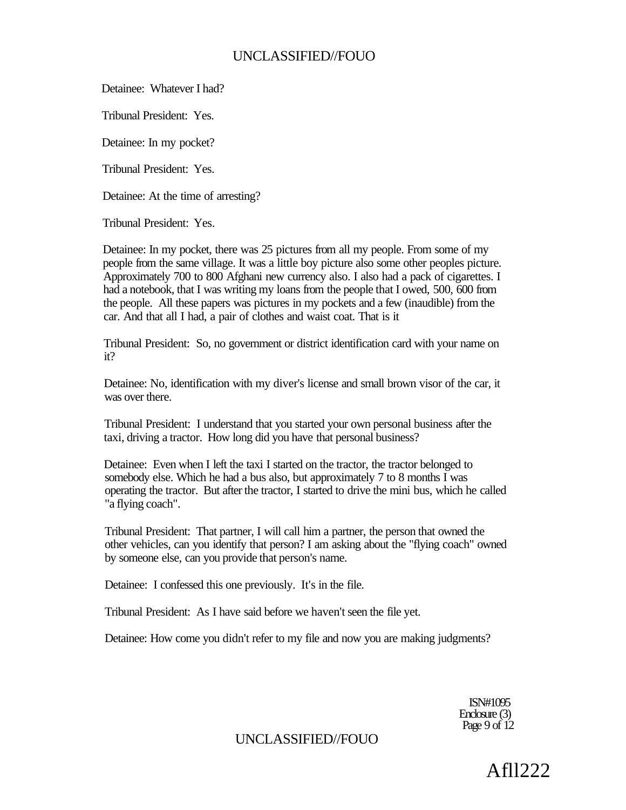Detainee: Whatever I had?

Tribunal President: Yes.

Detainee: In my pocket?

Tribunal President: Yes.

Detainee: At the time of arresting?

Tribunal President: Yes.

Detainee: In my pocket, there was 25 pictures from all my people. From some of my people from the same village. It was a little boy picture also some other peoples picture. Approximately 700 to 800 Afghani new currency also. I also had a pack of cigarettes. I had a notebook, that I was writing my loans from the people that I owed, 500, 600 from the people. All these papers was pictures in my pockets and a few (inaudible) from the car. And that all I had, a pair of clothes and waist coat. That is it

Tribunal President: So, no government or district identification card with your name on it?

Detainee: No, identification with my diver's license and small brown visor of the car, it was over there.

Tribunal President: I understand that you started your own personal business after the taxi, driving a tractor. How long did you have that personal business?

Detainee: Even when I left the taxi I started on the tractor, the tractor belonged to somebody else. Which he had a bus also, but approximately 7 to 8 months I was operating the tractor. But after the tractor, I started to drive the mini bus, which he called "a flying coach".

Tribunal President: That partner, I will call him a partner, the person that owned the other vehicles, can you identify that person? I am asking about the "flying coach" owned by someone else, can you provide that person's name.

Detainee: I confessed this one previously. It's in the file.

Tribunal President: As I have said before we haven't seen the file yet.

Detainee: How come you didn't refer to my file and now you are making judgments?

ISN#1095 Enclosure (3) Page 9 of  $12$ 

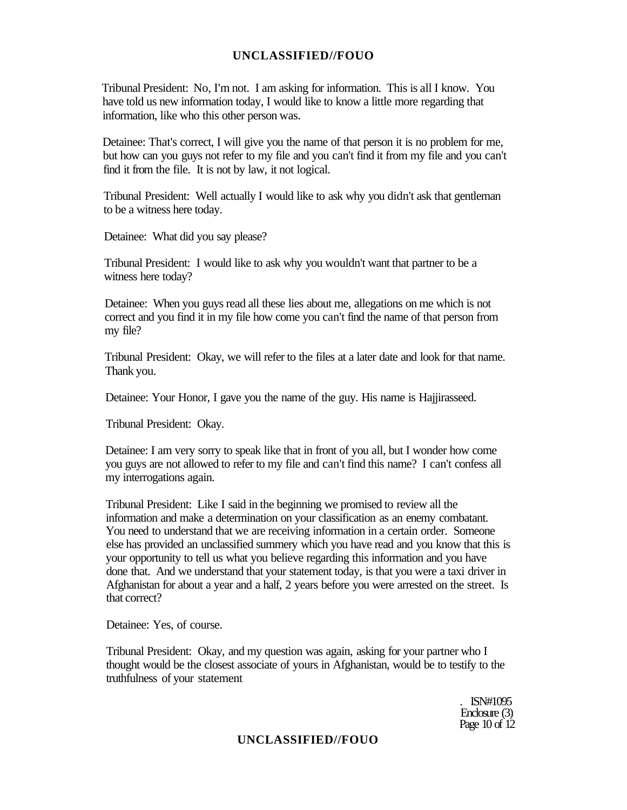Tribunal President: No, I'm not. I am asking for information. This is all I know. You have told us new information today, I would like to know a little more regarding that information, like who this other person was.

Detainee: That's correct, I will give you the name of that person it is no problem for me, but how can you guys not refer to my file and you can't find it from my file and you can't find it from the file. It is not by law, it not logical.

Tribunal President: Well actually I would like to ask why you didn't ask that gentleman to be a witness here today.

Detainee: What did you say please?

Tribunal President: I would like to ask why you wouldn't want that partner to be a witness here today?

Detainee: When you guys read all these lies about me, allegations on me which is not correct and you find it in my file how come you can't find the name of that person from my file?

Tribunal President: Okay, we will refer to the files at a later date and look for that name. Thank you.

Detainee: Your Honor, I gave you the name of the guy. His name is Hajjirasseed.

Tribunal President: Okay.

Detainee: I am very sorry to speak like that in front of you all, but I wonder how come you guys are not allowed to refer to my file and can't find this name? I can't confess all my interrogations again.

Tribunal President: Like I said in the beginning we promised to review all the information and make a determination on your classification as an enemy combatant. You need to understand that we are receiving information in a certain order. Someone else has provided an unclassified summery which you have read and you know that this is your opportunity to tell us what you believe regarding this information and you have done that. And we understand that your statement today, is that you were a taxi driver in Afghanistan for about a year and a half, 2 years before you were arrested on the street. Is that correct?

Detainee: Yes, of course.

Tribunal President: Okay, and my question was again, asking for your partner who I thought would be the closest associate of yours in Afghanistan, would be to testify to the truthfulness of your statement

> . ISN#1095 Enclosure (3) Page 10 of 12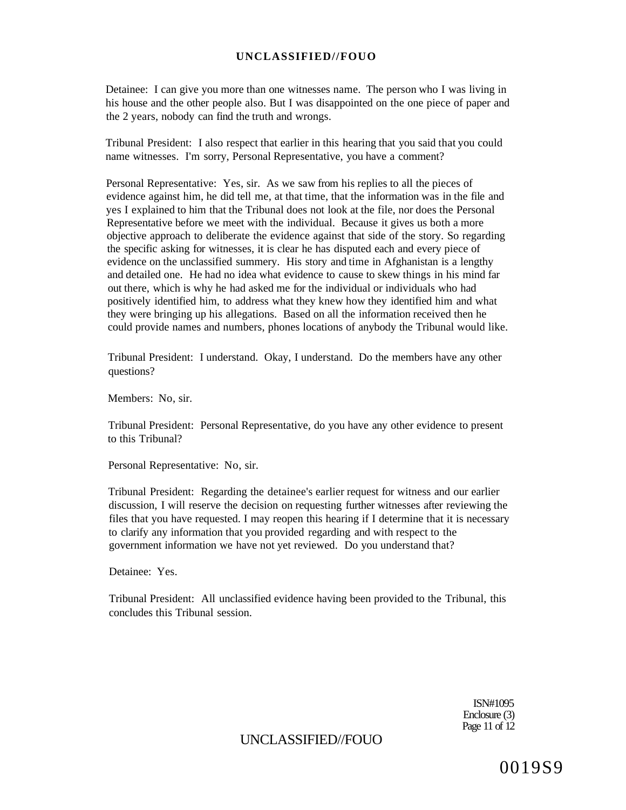Detainee: I can give you more than one witnesses name. The person who I was living in his house and the other people also. But I was disappointed on the one piece of paper and the 2 years, nobody can find the truth and wrongs.

Tribunal President: I also respect that earlier in this hearing that you said that you could name witnesses. I'm sorry, Personal Representative, you have a comment?

Personal Representative: Yes, sir. As we saw from his replies to all the pieces of evidence against him, he did tell me, at that time, that the information was in the file and yes I explained to him that the Tribunal does not look at the file, nor does the Personal Representative before we meet with the individual. Because it gives us both a more objective approach to deliberate the evidence against that side of the story. So regarding the specific asking for witnesses, it is clear he has disputed each and every piece of evidence on the unclassified summery. His story and time in Afghanistan is a lengthy and detailed one. He had no idea what evidence to cause to skew things in his mind far out there, which is why he had asked me for the individual or individuals who had positively identified him, to address what they knew how they identified him and what they were bringing up his allegations. Based on all the information received then he could provide names and numbers, phones locations of anybody the Tribunal would like.

Tribunal President: I understand. Okay, I understand. Do the members have any other questions?

Members: No, sir.

Tribunal President: Personal Representative, do you have any other evidence to present to this Tribunal?

Personal Representative: No, sir.

Tribunal President: Regarding the detainee's earlier request for witness and our earlier discussion, I will reserve the decision on requesting further witnesses after reviewing the files that you have requested. I may reopen this hearing if I determine that it is necessary to clarify any information that you provided regarding and with respect to the government information we have not yet reviewed. Do you understand that?

Detainee: Yes.

Tribunal President: All unclassified evidence having been provided to the Tribunal, this concludes this Tribunal session.

> ISN#1095 Enclosure (3) Page 11 of 12

# UNCLASSIFIED//FOUO

0019S9